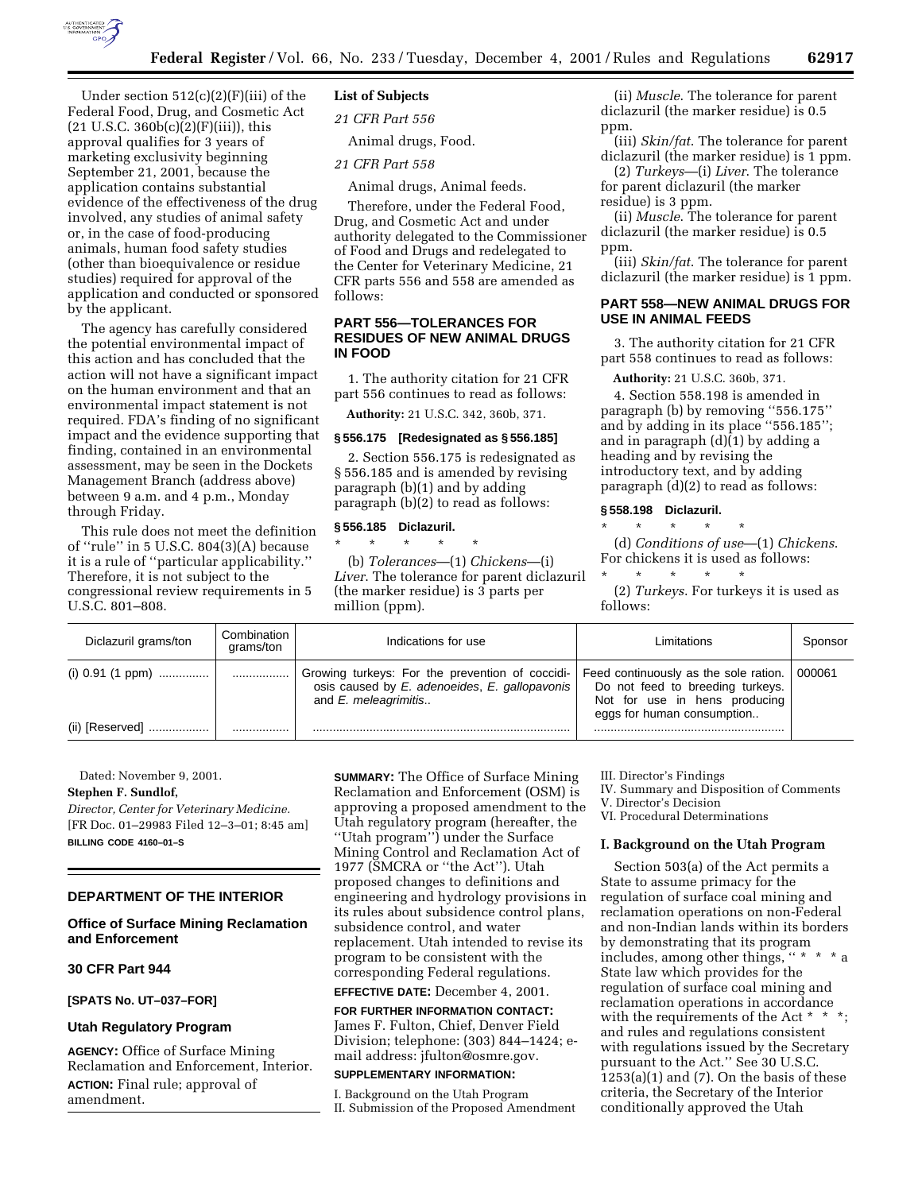

Under section  $512(c)(2)(F)(iii)$  of the Federal Food, Drug, and Cosmetic Act  $(21 \text{ U.S.C. } 360b(c)(2)(F)(iii))$ , this approval qualifies for 3 years of marketing exclusivity beginning September 21, 2001, because the application contains substantial evidence of the effectiveness of the drug involved, any studies of animal safety or, in the case of food-producing animals, human food safety studies (other than bioequivalence or residue studies) required for approval of the application and conducted or sponsored by the applicant.

The agency has carefully considered the potential environmental impact of this action and has concluded that the action will not have a significant impact on the human environment and that an environmental impact statement is not required. FDA's finding of no significant impact and the evidence supporting that finding, contained in an environmental assessment, may be seen in the Dockets Management Branch (address above) between 9 a.m. and 4 p.m., Monday through Friday.

This rule does not meet the definition of ''rule'' in 5 U.S.C. 804(3)(A) because it is a rule of ''particular applicability.'' Therefore, it is not subject to the congressional review requirements in 5 U.S.C. 801–808.

## **List of Subjects**

*21 CFR Part 556*

Animal drugs, Food.

## *21 CFR Part 558*

Animal drugs, Animal feeds.

Therefore, under the Federal Food, Drug, and Cosmetic Act and under authority delegated to the Commissioner of Food and Drugs and redelegated to the Center for Veterinary Medicine, 21 CFR parts 556 and 558 are amended as follows:

## **PART 556—TOLERANCES FOR RESIDUES OF NEW ANIMAL DRUGS IN FOOD**

1. The authority citation for 21 CFR part 556 continues to read as follows:

**Authority:** 21 U.S.C. 342, 360b, 371.

## **§ 556.175 [Redesignated as § 556.185]**

2. Section 556.175 is redesignated as § 556.185 and is amended by revising paragraph (b)(1) and by adding paragraph (b)(2) to read as follows:

### **§ 556.185 Diclazuril.**

\* \* \* \* \* (b) *Tolerances*—(1) *Chickens*—(i) *Liver*. The tolerance for parent diclazuril (the marker residue) is 3 parts per million (ppm).

(ii) *Muscle*. The tolerance for parent diclazuril (the marker residue) is 0.5 ppm.

(iii) *Skin/fat*. The tolerance for parent diclazuril (the marker residue) is 1 ppm.

(2) *Turkeys*—(i) *Liver*. The tolerance for parent diclazuril (the marker residue) is 3 ppm.

(ii) *Muscle*. The tolerance for parent diclazuril (the marker residue) is 0.5 ppm.

(iii) *Skin/fat*. The tolerance for parent diclazuril (the marker residue) is 1 ppm.

## **PART 558—NEW ANIMAL DRUGS FOR USE IN ANIMAL FEEDS**

3. The authority citation for 21 CFR part 558 continues to read as follows:

**Authority:** 21 U.S.C. 360b, 371.

4. Section 558.198 is amended in paragraph (b) by removing ''556.175'' and by adding in its place ''556.185''; and in paragraph (d)(1) by adding a heading and by revising the introductory text, and by adding paragraph (d)(2) to read as follows:

## **§ 558.198 Diclazuril.**

\* \* \* \* \* (d) *Conditions of use*—(1) *Chickens*. For chickens it is used as follows:

\* \* \* \* \* (2) *Turkeys*. For turkeys it is used as

follows:

| Diclazuril grams/ton | Combination<br>grams/ton | Indications for use                                                                                                      | Limitations                                                                                                                              | Sponsor |
|----------------------|--------------------------|--------------------------------------------------------------------------------------------------------------------------|------------------------------------------------------------------------------------------------------------------------------------------|---------|
| (i) $0.91$ (1 ppm)   |                          | Growing turkeys: For the prevention of coccidi-<br>osis caused by E. adenoeides, E. gallopavonis<br>and E. meleagrimitis | Feed continuously as the sole ration.<br>Do not feed to breeding turkeys.<br>Not for use in hens producing<br>eggs for human consumption | 000061  |
| (ii) [Reserved]      |                          |                                                                                                                          |                                                                                                                                          |         |

Dated: November 9, 2001.

## **Stephen F. Sundlof,**

*Director, Center for Veterinary Medicine.* [FR Doc. 01–29983 Filed 12–3–01; 8:45 am] **BILLING CODE 4160–01–S**

#### **DEPARTMENT OF THE INTERIOR**

## **Office of Surface Mining Reclamation and Enforcement**

**30 CFR Part 944**

## **[SPATS No. UT–037–FOR]**

# **Utah Regulatory Program**

**AGENCY:** Office of Surface Mining Reclamation and Enforcement, Interior. **ACTION:** Final rule; approval of amendment.

**SUMMARY:** The Office of Surface Mining Reclamation and Enforcement (OSM) is approving a proposed amendment to the Utah regulatory program (hereafter, the ''Utah program'') under the Surface Mining Control and Reclamation Act of 1977 (SMCRA or ''the Act''). Utah proposed changes to definitions and engineering and hydrology provisions in its rules about subsidence control plans, subsidence control, and water replacement. Utah intended to revise its program to be consistent with the corresponding Federal regulations.

## **EFFECTIVE DATE:** December 4, 2001. **FOR FURTHER INFORMATION CONTACT:**

James F. Fulton, Chief, Denver Field Division; telephone: (303) 844–1424; email address: jfulton@osmre.gov.

## **SUPPLEMENTARY INFORMATION:**

I. Background on the Utah Program II. Submission of the Proposed Amendment III. Director's Findings

IV. Summary and Disposition of Comments

V. Director's Decision

VI. Procedural Determinations

#### **I. Background on the Utah Program**

Section 503(a) of the Act permits a State to assume primacy for the regulation of surface coal mining and reclamation operations on non-Federal and non-Indian lands within its borders by demonstrating that its program includes, among other things, '' \* \* \* a State law which provides for the regulation of surface coal mining and reclamation operations in accordance with the requirements of the Act \* \* \*; and rules and regulations consistent with regulations issued by the Secretary pursuant to the Act.'' See 30 U.S.C.  $1253(a)(1)$  and  $(7)$ . On the basis of these criteria, the Secretary of the Interior conditionally approved the Utah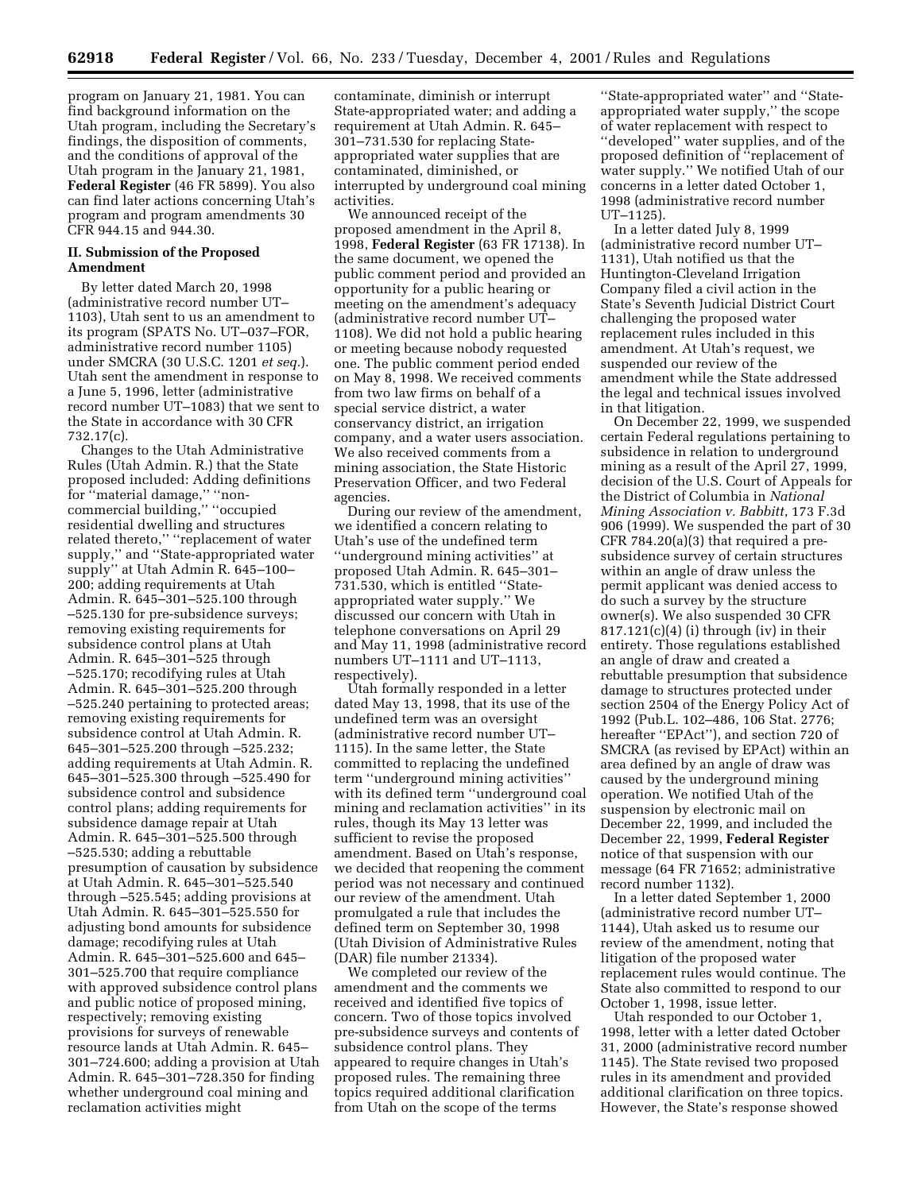program on January 21, 1981. You can find background information on the Utah program, including the Secretary's findings, the disposition of comments, and the conditions of approval of the Utah program in the January 21, 1981, **Federal Register** (46 FR 5899). You also can find later actions concerning Utah's program and program amendments 30 CFR 944.15 and 944.30.

#### **II. Submission of the Proposed Amendment**

By letter dated March 20, 1998 (administrative record number UT– 1103), Utah sent to us an amendment to its program (SPATS No. UT–037–FOR, administrative record number 1105) under SMCRA (30 U.S.C. 1201 *et seq.*). Utah sent the amendment in response to a June 5, 1996, letter (administrative record number UT–1083) that we sent to the State in accordance with 30 CFR 732.17(c).

Changes to the Utah Administrative Rules (Utah Admin. R.) that the State proposed included: Adding definitions for ''material damage,'' ''noncommercial building,'' ''occupied residential dwelling and structures related thereto,'' ''replacement of water supply,'' and ''State-appropriated water supply'' at Utah Admin R. 645–100– 200; adding requirements at Utah Admin. R. 645–301–525.100 through –525.130 for pre-subsidence surveys; removing existing requirements for subsidence control plans at Utah Admin. R. 645–301–525 through –525.170; recodifying rules at Utah Admin. R. 645–301–525.200 through –525.240 pertaining to protected areas; removing existing requirements for subsidence control at Utah Admin. R. 645–301–525.200 through –525.232; adding requirements at Utah Admin. R. 645–301–525.300 through –525.490 for subsidence control and subsidence control plans; adding requirements for subsidence damage repair at Utah Admin. R. 645–301–525.500 through –525.530; adding a rebuttable presumption of causation by subsidence at Utah Admin. R. 645–301–525.540 through –525.545; adding provisions at Utah Admin. R. 645–301–525.550 for adjusting bond amounts for subsidence damage; recodifying rules at Utah Admin. R. 645–301–525.600 and 645– 301–525.700 that require compliance with approved subsidence control plans and public notice of proposed mining, respectively; removing existing provisions for surveys of renewable resource lands at Utah Admin. R. 645– 301–724.600; adding a provision at Utah Admin. R. 645–301–728.350 for finding whether underground coal mining and reclamation activities might

contaminate, diminish or interrupt State-appropriated water; and adding a requirement at Utah Admin. R. 645– 301–731.530 for replacing Stateappropriated water supplies that are contaminated, diminished, or interrupted by underground coal mining activities.

We announced receipt of the proposed amendment in the April 8, 1998, **Federal Register** (63 FR 17138). In the same document, we opened the public comment period and provided an opportunity for a public hearing or meeting on the amendment's adequacy (administrative record number UT– 1108). We did not hold a public hearing or meeting because nobody requested one. The public comment period ended on May 8, 1998. We received comments from two law firms on behalf of a special service district, a water conservancy district, an irrigation company, and a water users association. We also received comments from a mining association, the State Historic Preservation Officer, and two Federal agencies.

During our review of the amendment, we identified a concern relating to Utah's use of the undefined term ''underground mining activities'' at proposed Utah Admin. R. 645–301– 731.530, which is entitled ''Stateappropriated water supply.'' We discussed our concern with Utah in telephone conversations on April 29 and May 11, 1998 (administrative record numbers UT–1111 and UT–1113, respectively).

Utah formally responded in a letter dated May 13, 1998, that its use of the undefined term was an oversight (administrative record number UT– 1115). In the same letter, the State committed to replacing the undefined term ''underground mining activities'' with its defined term ''underground coal mining and reclamation activities'' in its rules, though its May 13 letter was sufficient to revise the proposed amendment. Based on Utah's response, we decided that reopening the comment period was not necessary and continued our review of the amendment. Utah promulgated a rule that includes the defined term on September 30, 1998 (Utah Division of Administrative Rules (DAR) file number 21334).

We completed our review of the amendment and the comments we received and identified five topics of concern. Two of those topics involved pre-subsidence surveys and contents of subsidence control plans. They appeared to require changes in Utah's proposed rules. The remaining three topics required additional clarification from Utah on the scope of the terms

''State-appropriated water'' and ''Stateappropriated water supply,'' the scope of water replacement with respect to ''developed'' water supplies, and of the proposed definition of ''replacement of water supply.'' We notified Utah of our concerns in a letter dated October 1, 1998 (administrative record number UT–1125).

In a letter dated July 8, 1999 (administrative record number UT– 1131), Utah notified us that the Huntington-Cleveland Irrigation Company filed a civil action in the State's Seventh Judicial District Court challenging the proposed water replacement rules included in this amendment. At Utah's request, we suspended our review of the amendment while the State addressed the legal and technical issues involved in that litigation.

On December 22, 1999, we suspended certain Federal regulations pertaining to subsidence in relation to underground mining as a result of the April 27, 1999, decision of the U.S. Court of Appeals for the District of Columbia in *National Mining Association v. Babbitt*, 173 F.3d 906 (1999). We suspended the part of 30 CFR 784.20(a)(3) that required a presubsidence survey of certain structures within an angle of draw unless the permit applicant was denied access to do such a survey by the structure owner(s). We also suspended 30 CFR  $817.121(c)(4)$  (i) through (iv) in their entirety. Those regulations established an angle of draw and created a rebuttable presumption that subsidence damage to structures protected under section 2504 of the Energy Policy Act of 1992 (Pub.L. 102–486, 106 Stat. 2776; hereafter "EPAct"), and section 720 of SMCRA (as revised by EPAct) within an area defined by an angle of draw was caused by the underground mining operation. We notified Utah of the suspension by electronic mail on December 22, 1999, and included the December 22, 1999, **Federal Register** notice of that suspension with our message (64 FR 71652; administrative record number 1132).

In a letter dated September 1, 2000 (administrative record number UT– 1144), Utah asked us to resume our review of the amendment, noting that litigation of the proposed water replacement rules would continue. The State also committed to respond to our October 1, 1998, issue letter.

Utah responded to our October 1, 1998, letter with a letter dated October 31, 2000 (administrative record number 1145). The State revised two proposed rules in its amendment and provided additional clarification on three topics. However, the State's response showed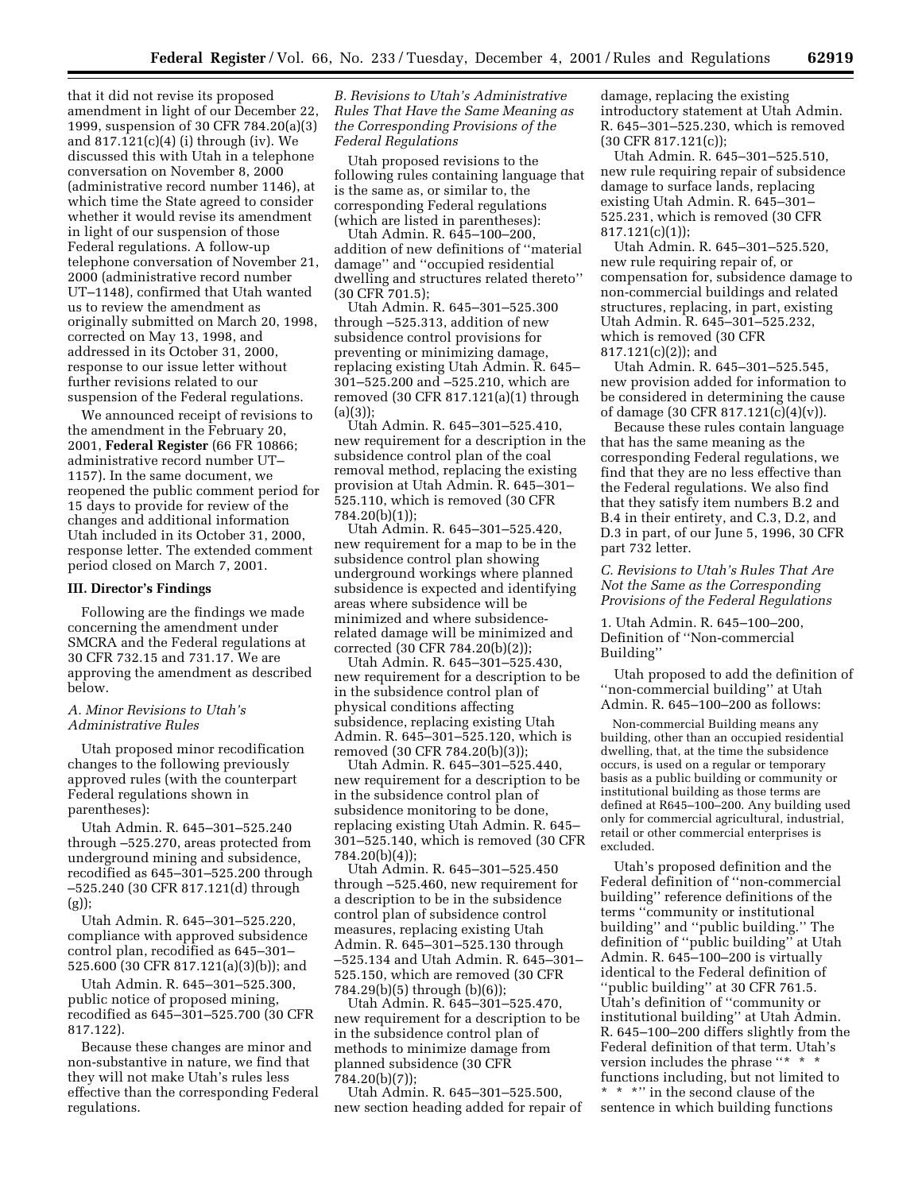that it did not revise its proposed amendment in light of our December 22, 1999, suspension of 30 CFR 784.20(a)(3) and 817.121(c)(4) (i) through (iv). We discussed this with Utah in a telephone conversation on November 8, 2000 (administrative record number 1146), at which time the State agreed to consider whether it would revise its amendment in light of our suspension of those Federal regulations. A follow-up telephone conversation of November 21, 2000 (administrative record number UT–1148), confirmed that Utah wanted us to review the amendment as originally submitted on March 20, 1998, corrected on May 13, 1998, and addressed in its October 31, 2000, response to our issue letter without further revisions related to our suspension of the Federal regulations.

We announced receipt of revisions to the amendment in the February 20, 2001, **Federal Register** (66 FR 10866; administrative record number UT– 1157). In the same document, we reopened the public comment period for 15 days to provide for review of the changes and additional information Utah included in its October 31, 2000, response letter. The extended comment period closed on March 7, 2001.

#### **III. Director's Findings**

Following are the findings we made concerning the amendment under SMCRA and the Federal regulations at 30 CFR 732.15 and 731.17. We are approving the amendment as described below.

## *A. Minor Revisions to Utah's Administrative Rules*

Utah proposed minor recodification changes to the following previously approved rules (with the counterpart Federal regulations shown in parentheses):

Utah Admin. R. 645–301–525.240 through –525.270, areas protected from underground mining and subsidence, recodified as 645–301–525.200 through –525.240 (30 CFR 817.121(d) through (g));

Utah Admin. R. 645–301–525.220, compliance with approved subsidence control plan, recodified as 645–301– 525.600 (30 CFR 817.121(a)(3)(b)); and

Utah Admin. R. 645–301–525.300, public notice of proposed mining, recodified as 645–301–525.700 (30 CFR 817.122).

Because these changes are minor and non-substantive in nature, we find that they will not make Utah's rules less effective than the corresponding Federal regulations.

## *B. Revisions to Utah's Administrative Rules That Have the Same Meaning as the Corresponding Provisions of the Federal Regulations*

Utah proposed revisions to the following rules containing language that is the same as, or similar to, the corresponding Federal regulations (which are listed in parentheses):

Utah Admin. R. 645–100–200, addition of new definitions of ''material damage'' and ''occupied residential dwelling and structures related thereto'' (30 CFR 701.5);

Utah Admin. R. 645–301–525.300 through –525.313, addition of new subsidence control provisions for preventing or minimizing damage, replacing existing Utah Admin. R. 645– 301–525.200 and –525.210, which are removed (30 CFR 817.121(a)(1) through  $(a)(3)$ ;

Utah Admin. R. 645–301–525.410, new requirement for a description in the subsidence control plan of the coal removal method, replacing the existing provision at Utah Admin. R. 645–301– 525.110, which is removed (30 CFR 784.20(b)(1));

Utah Admin. R. 645–301–525.420, new requirement for a map to be in the subsidence control plan showing underground workings where planned subsidence is expected and identifying areas where subsidence will be minimized and where subsidencerelated damage will be minimized and corrected (30 CFR 784.20(b)(2));

Utah Admin. R. 645–301–525.430, new requirement for a description to be in the subsidence control plan of physical conditions affecting subsidence, replacing existing Utah Admin. R. 645–301–525.120, which is removed (30 CFR 784.20(b)(3));

Utah Admin. R. 645–301–525.440, new requirement for a description to be in the subsidence control plan of subsidence monitoring to be done, replacing existing Utah Admin. R. 645– 301–525.140, which is removed (30 CFR 784.20(b)(4));

Utah Admin. R. 645–301–525.450 through –525.460, new requirement for a description to be in the subsidence control plan of subsidence control measures, replacing existing Utah Admin. R. 645–301–525.130 through –525.134 and Utah Admin. R. 645–301– 525.150, which are removed (30 CFR 784.29(b)(5) through (b)(6));

Utah Admin. R. 645–301–525.470, new requirement for a description to be in the subsidence control plan of methods to minimize damage from planned subsidence (30 CFR 784.20(b)(7));

Utah Admin. R. 645–301–525.500, new section heading added for repair of damage, replacing the existing introductory statement at Utah Admin. R. 645–301–525.230, which is removed (30 CFR 817.121(c));

Utah Admin. R. 645–301–525.510, new rule requiring repair of subsidence damage to surface lands, replacing existing Utah Admin. R. 645–301– 525.231, which is removed (30 CFR 817.121(c)(1));

Utah Admin. R. 645–301–525.520, new rule requiring repair of, or compensation for, subsidence damage to non-commercial buildings and related structures, replacing, in part, existing Utah Admin. R. 645–301–525.232, which is removed (30 CFR 817.121(c)(2)); and

Utah Admin. R. 645–301–525.545, new provision added for information to be considered in determining the cause of damage (30 CFR 817.121(c)(4)(v)).

Because these rules contain language that has the same meaning as the corresponding Federal regulations, we find that they are no less effective than the Federal regulations. We also find that they satisfy item numbers B.2 and B.4 in their entirety, and C.3, D.2, and D.3 in part, of our June 5, 1996, 30 CFR part 732 letter.

*C. Revisions to Utah's Rules That Are Not the Same as the Corresponding Provisions of the Federal Regulations*

1. Utah Admin. R. 645–100–200, Definition of ''Non-commercial Building''

Utah proposed to add the definition of ''non-commercial building'' at Utah Admin. R. 645–100–200 as follows:

Non-commercial Building means any building, other than an occupied residential dwelling, that, at the time the subsidence occurs, is used on a regular or temporary basis as a public building or community or institutional building as those terms are defined at R645–100–200. Any building used only for commercial agricultural, industrial, retail or other commercial enterprises is excluded.

Utah's proposed definition and the Federal definition of ''non-commercial building'' reference definitions of the terms ''community or institutional building'' and ''public building.'' The definition of ''public building'' at Utah Admin. R. 645–100–200 is virtually identical to the Federal definition of ''public building'' at 30 CFR 761.5. Utah's definition of ''community or institutional building'' at Utah Admin. R. 645–100–200 differs slightly from the Federal definition of that term. Utah's version includes the phrase ''\*  $\hspace{0.1mm}^*$  ' functions including, but not limited to \*\*\*'' in the second clause of the

sentence in which building functions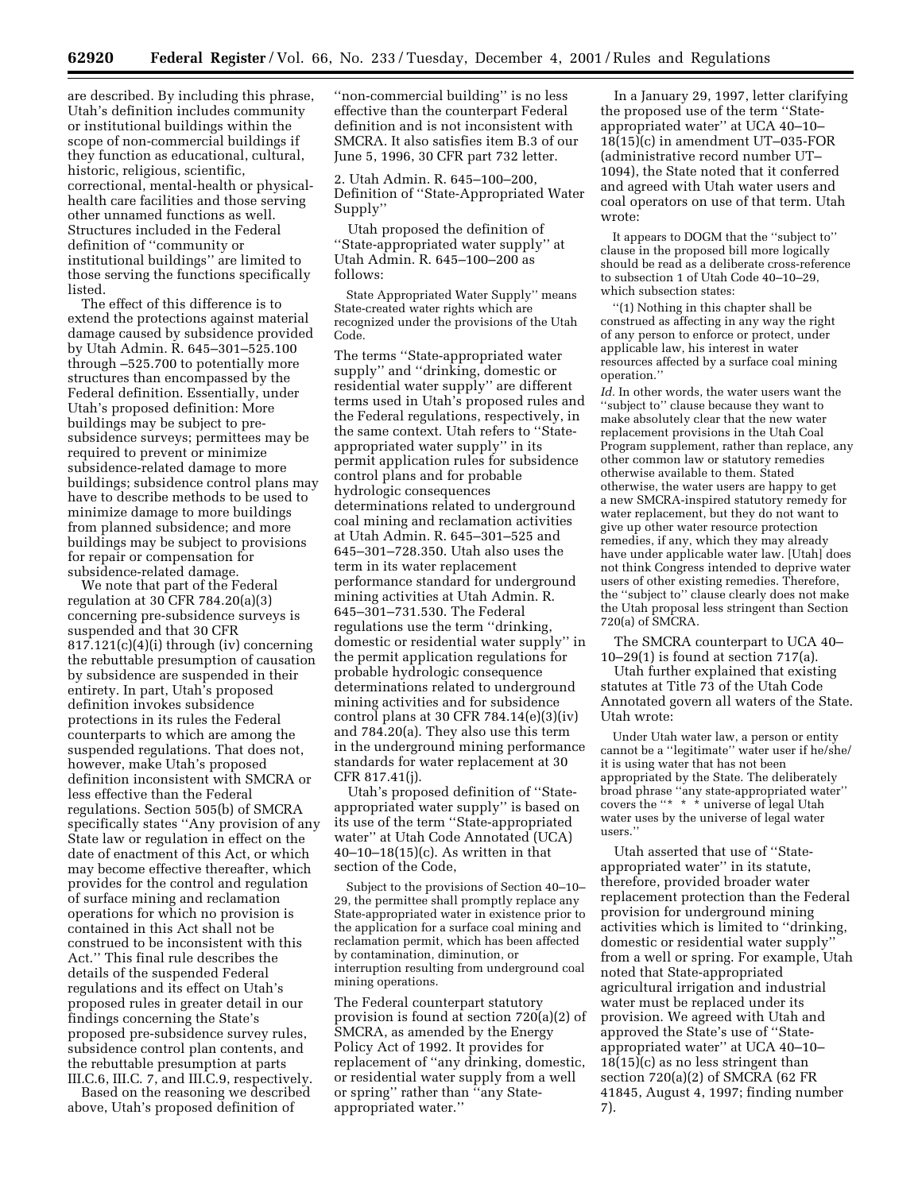are described. By including this phrase, Utah's definition includes community or institutional buildings within the scope of non-commercial buildings if they function as educational, cultural, historic, religious, scientific, correctional, mental-health or physicalhealth care facilities and those serving other unnamed functions as well. Structures included in the Federal definition of ''community or institutional buildings'' are limited to those serving the functions specifically listed.

The effect of this difference is to extend the protections against material damage caused by subsidence provided by Utah Admin. R. 645–301–525.100 through –525.700 to potentially more structures than encompassed by the Federal definition. Essentially, under Utah's proposed definition: More buildings may be subject to presubsidence surveys; permittees may be required to prevent or minimize subsidence-related damage to more buildings; subsidence control plans may have to describe methods to be used to minimize damage to more buildings from planned subsidence; and more buildings may be subject to provisions for repair or compensation for subsidence-related damage.

We note that part of the Federal regulation at 30 CFR 784.20(a)(3) concerning pre-subsidence surveys is suspended and that 30 CFR 817.121(c)(4)(i) through (iv) concerning the rebuttable presumption of causation by subsidence are suspended in their entirety. In part, Utah's proposed definition invokes subsidence protections in its rules the Federal counterparts to which are among the suspended regulations. That does not, however, make Utah's proposed definition inconsistent with SMCRA or less effective than the Federal regulations. Section 505(b) of SMCRA specifically states ''Any provision of any State law or regulation in effect on the date of enactment of this Act, or which may become effective thereafter, which provides for the control and regulation of surface mining and reclamation operations for which no provision is contained in this Act shall not be construed to be inconsistent with this Act.'' This final rule describes the details of the suspended Federal regulations and its effect on Utah's proposed rules in greater detail in our findings concerning the State's proposed pre-subsidence survey rules, subsidence control plan contents, and the rebuttable presumption at parts III.C.6, III.C. 7, and III.C.9, respectively.

Based on the reasoning we described above, Utah's proposed definition of

''non-commercial building'' is no less effective than the counterpart Federal definition and is not inconsistent with SMCRA. It also satisfies item B.3 of our June 5, 1996, 30 CFR part 732 letter.

2. Utah Admin. R. 645–100–200, Definition of ''State-Appropriated Water Supply''

Utah proposed the definition of ''State-appropriated water supply'' at Utah Admin. R. 645–100–200 as follows:

State Appropriated Water Supply'' means State-created water rights which are recognized under the provisions of the Utah Code.

The terms ''State-appropriated water supply'' and ''drinking, domestic or residential water supply'' are different terms used in Utah's proposed rules and the Federal regulations, respectively, in the same context. Utah refers to ''Stateappropriated water supply'' in its permit application rules for subsidence control plans and for probable hydrologic consequences determinations related to underground coal mining and reclamation activities at Utah Admin. R. 645–301–525 and 645–301–728.350. Utah also uses the term in its water replacement performance standard for underground mining activities at Utah Admin. R. 645–301–731.530. The Federal regulations use the term ''drinking, domestic or residential water supply'' in the permit application regulations for probable hydrologic consequence determinations related to underground mining activities and for subsidence control plans at 30 CFR 784.14(e)(3)(iv) and 784.20(a). They also use this term in the underground mining performance standards for water replacement at 30 CFR 817.41(j).

Utah's proposed definition of ''Stateappropriated water supply'' is based on its use of the term ''State-appropriated water'' at Utah Code Annotated (UCA) 40–10–18(15)(c). As written in that section of the Code,

Subject to the provisions of Section 40–10– 29, the permittee shall promptly replace any State-appropriated water in existence prior to the application for a surface coal mining and reclamation permit, which has been affected by contamination, diminution, or interruption resulting from underground coal mining operations.

The Federal counterpart statutory provision is found at section 720(a)(2) of SMCRA, as amended by the Energy Policy Act of 1992. It provides for replacement of ''any drinking, domestic, or residential water supply from a well or spring'' rather than ''any Stateappropriated water.''

In a January 29, 1997, letter clarifying the proposed use of the term ''Stateappropriated water'' at UCA 40–10– 18(15)(c) in amendment UT–035-FOR (administrative record number UT– 1094), the State noted that it conferred and agreed with Utah water users and coal operators on use of that term. Utah wrote:

It appears to DOGM that the ''subject to'' clause in the proposed bill more logically should be read as a deliberate cross-reference to subsection 1 of Utah Code 40–10–29, which subsection states:

''(1) Nothing in this chapter shall be construed as affecting in any way the right of any person to enforce or protect, under applicable law, his interest in water resources affected by a surface coal mining operation.''

*Id.* In other words, the water users want the ''subject to'' clause because they want to make absolutely clear that the new water replacement provisions in the Utah Coal Program supplement, rather than replace, any other common law or statutory remedies otherwise available to them. Stated otherwise, the water users are happy to get a new SMCRA-inspired statutory remedy for water replacement, but they do not want to give up other water resource protection remedies, if any, which they may already have under applicable water law. [Utah] does not think Congress intended to deprive water users of other existing remedies. Therefore, the ''subject to'' clause clearly does not make the Utah proposal less stringent than Section 720(a) of SMCRA.

The SMCRA counterpart to UCA 40– 10–29(1) is found at section 717(a).

Utah further explained that existing statutes at Title 73 of the Utah Code Annotated govern all waters of the State. Utah wrote:

Under Utah water law, a person or entity cannot be a ''legitimate'' water user if he/she/ it is using water that has not been appropriated by the State. The deliberately broad phrase ''any state-appropriated water'' covers the ''\* \* \* universe of legal Utah water uses by the universe of legal water users.''

Utah asserted that use of ''Stateappropriated water'' in its statute, therefore, provided broader water replacement protection than the Federal provision for underground mining activities which is limited to ''drinking, domestic or residential water supply'' from a well or spring. For example, Utah noted that State-appropriated agricultural irrigation and industrial water must be replaced under its provision. We agreed with Utah and approved the State's use of ''Stateappropriated water'' at UCA 40–10– 18(15)(c) as no less stringent than section 720(a)(2) of SMCRA (62 FR 41845, August 4, 1997; finding number 7).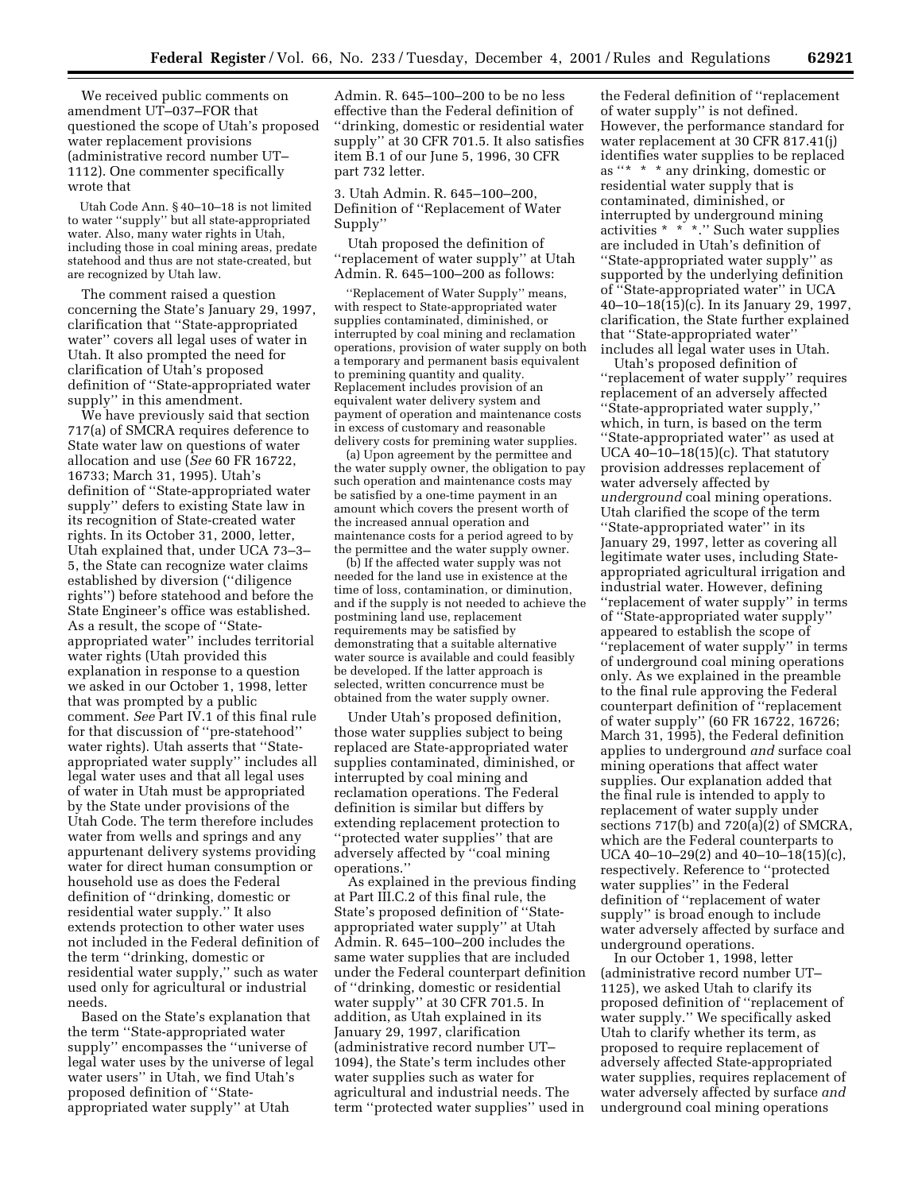We received public comments on amendment UT–037–FOR that questioned the scope of Utah's proposed water replacement provisions (administrative record number UT– 1112). One commenter specifically wrote that

Utah Code Ann. § 40–10–18 is not limited to water ''supply'' but all state-appropriated water. Also, many water rights in Utah, including those in coal mining areas, predate statehood and thus are not state-created, but are recognized by Utah law.

The comment raised a question concerning the State's January 29, 1997, clarification that ''State-appropriated water'' covers all legal uses of water in Utah. It also prompted the need for clarification of Utah's proposed definition of ''State-appropriated water supply'' in this amendment.

We have previously said that section 717(a) of SMCRA requires deference to State water law on questions of water allocation and use (*See* 60 FR 16722, 16733; March 31, 1995). Utah's definition of ''State-appropriated water supply'' defers to existing State law in its recognition of State-created water rights. In its October 31, 2000, letter, Utah explained that, under UCA 73–3– 5, the State can recognize water claims established by diversion (''diligence rights'') before statehood and before the State Engineer's office was established. As a result, the scope of ''Stateappropriated water'' includes territorial water rights (Utah provided this explanation in response to a question we asked in our October 1, 1998, letter that was prompted by a public comment. *See* Part IV.1 of this final rule for that discussion of ''pre-statehood'' water rights). Utah asserts that ''Stateappropriated water supply'' includes all legal water uses and that all legal uses of water in Utah must be appropriated by the State under provisions of the Utah Code. The term therefore includes water from wells and springs and any appurtenant delivery systems providing water for direct human consumption or household use as does the Federal definition of ''drinking, domestic or residential water supply.'' It also extends protection to other water uses not included in the Federal definition of the term ''drinking, domestic or residential water supply,'' such as water used only for agricultural or industrial needs.

Based on the State's explanation that the term ''State-appropriated water supply'' encompasses the ''universe of legal water uses by the universe of legal water users'' in Utah, we find Utah's proposed definition of ''Stateappropriated water supply'' at Utah

Admin. R. 645–100–200 to be no less effective than the Federal definition of ''drinking, domestic or residential water supply'' at 30 CFR 701.5. It also satisfies item B.1 of our June 5, 1996, 30 CFR part 732 letter.

3. Utah Admin. R. 645–100–200, Definition of ''Replacement of Water Supply''

Utah proposed the definition of ''replacement of water supply'' at Utah Admin. R. 645–100–200 as follows:

''Replacement of Water Supply'' means, with respect to State-appropriated water supplies contaminated, diminished, or interrupted by coal mining and reclamation operations, provision of water supply on both a temporary and permanent basis equivalent to premining quantity and quality. Replacement includes provision of an equivalent water delivery system and payment of operation and maintenance costs in excess of customary and reasonable delivery costs for premining water supplies.

(a) Upon agreement by the permittee and the water supply owner, the obligation to pay such operation and maintenance costs may be satisfied by a one-time payment in an amount which covers the present worth of the increased annual operation and maintenance costs for a period agreed to by the permittee and the water supply owner.

(b) If the affected water supply was not needed for the land use in existence at the time of loss, contamination, or diminution, and if the supply is not needed to achieve the postmining land use, replacement requirements may be satisfied by demonstrating that a suitable alternative water source is available and could feasibly be developed. If the latter approach is selected, written concurrence must be obtained from the water supply owner.

Under Utah's proposed definition, those water supplies subject to being replaced are State-appropriated water supplies contaminated, diminished, or interrupted by coal mining and reclamation operations. The Federal definition is similar but differs by extending replacement protection to ''protected water supplies'' that are adversely affected by ''coal mining operations.''

As explained in the previous finding at Part III.C.2 of this final rule, the State's proposed definition of ''Stateappropriated water supply'' at Utah Admin. R. 645–100–200 includes the same water supplies that are included under the Federal counterpart definition of ''drinking, domestic or residential water supply'' at 30 CFR 701.5. In addition, as Utah explained in its January 29, 1997, clarification (administrative record number UT– 1094), the State's term includes other water supplies such as water for agricultural and industrial needs. The term ''protected water supplies'' used in

the Federal definition of ''replacement of water supply'' is not defined. However, the performance standard for water replacement at 30 CFR 817.41(j) identifies water supplies to be replaced as ''\* \* \* any drinking, domestic or residential water supply that is contaminated, diminished, or interrupted by underground mining activities \* \* \*.'' Such water supplies are included in Utah's definition of ''State-appropriated water supply'' as supported by the underlying definition of ''State-appropriated water'' in UCA 40–10–18(15)(c). In its January 29, 1997, clarification, the State further explained that ''State-appropriated water'' includes all legal water uses in Utah.

Utah's proposed definition of ''replacement of water supply'' requires replacement of an adversely affected ''State-appropriated water supply,'' which, in turn, is based on the term ''State-appropriated water'' as used at UCA  $40-10-18(15)$ (c). That statutory provision addresses replacement of water adversely affected by *underground* coal mining operations. Utah clarified the scope of the term ''State-appropriated water'' in its January 29, 1997, letter as covering all legitimate water uses, including Stateappropriated agricultural irrigation and industrial water. However, defining ''replacement of water supply'' in terms of ''State-appropriated water supply'' appeared to establish the scope of ''replacement of water supply'' in terms of underground coal mining operations only. As we explained in the preamble to the final rule approving the Federal counterpart definition of ''replacement of water supply'' (60 FR 16722, 16726; March 31, 1995), the Federal definition applies to underground *and* surface coal mining operations that affect water supplies. Our explanation added that the final rule is intended to apply to replacement of water supply under sections 717(b) and 720(a)(2) of SMCRA, which are the Federal counterparts to UCA 40–10–29(2) and 40–10–18(15)(c), respectively. Reference to ''protected water supplies'' in the Federal definition of ''replacement of water supply'' is broad enough to include water adversely affected by surface and underground operations.

In our October 1, 1998, letter (administrative record number UT– 1125), we asked Utah to clarify its proposed definition of ''replacement of water supply.'' We specifically asked Utah to clarify whether its term, as proposed to require replacement of adversely affected State-appropriated water supplies, requires replacement of water adversely affected by surface *and* underground coal mining operations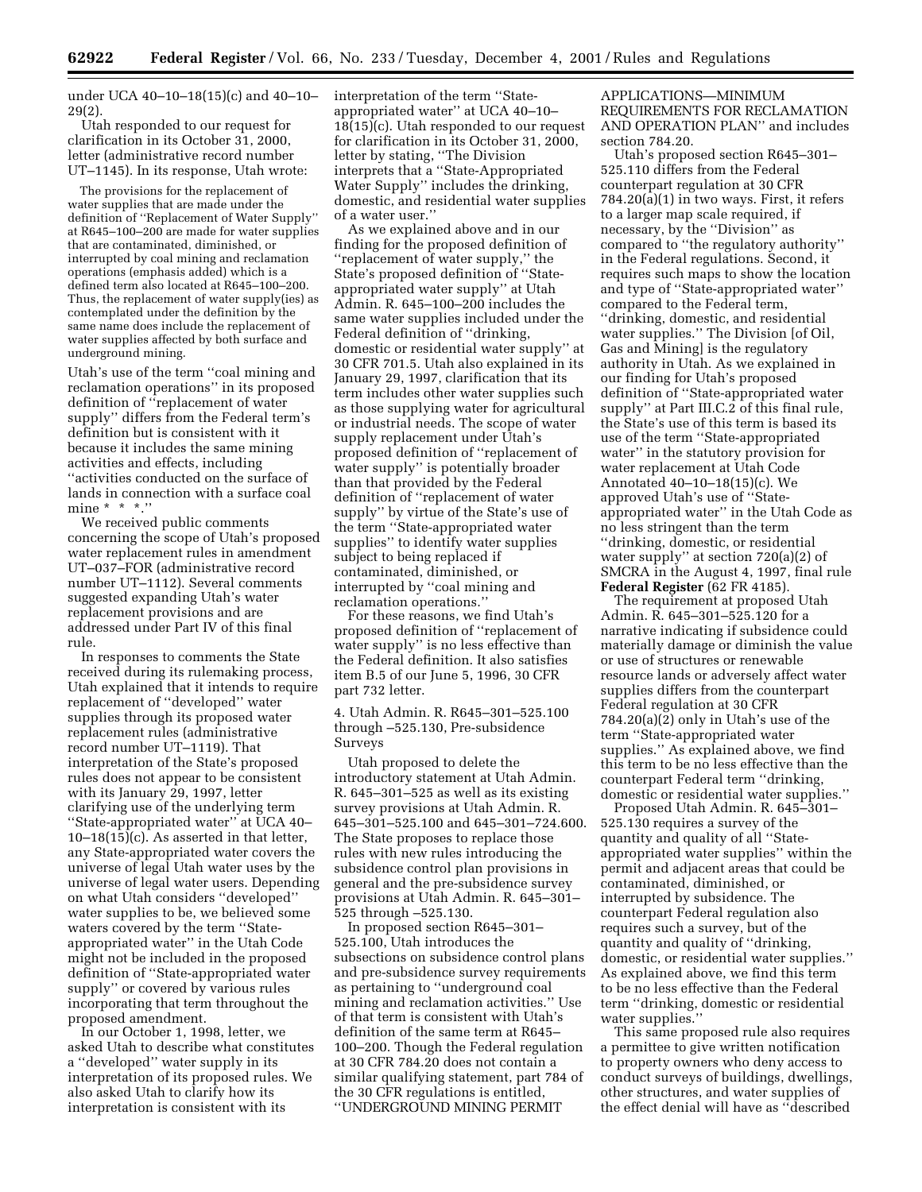under UCA 40–10–18(15)(c) and 40–10– 29(2).

Utah responded to our request for clarification in its October 31, 2000, letter (administrative record number UT–1145). In its response, Utah wrote:

The provisions for the replacement of water supplies that are made under the definition of ''Replacement of Water Supply'' at R645–100–200 are made for water supplies that are contaminated, diminished, or interrupted by coal mining and reclamation operations (emphasis added) which is a defined term also located at R645–100–200. Thus, the replacement of water supply(ies) as contemplated under the definition by the same name does include the replacement of water supplies affected by both surface and underground mining.

Utah's use of the term ''coal mining and reclamation operations'' in its proposed definition of ''replacement of water supply'' differs from the Federal term's definition but is consistent with it because it includes the same mining activities and effects, including ''activities conducted on the surface of lands in connection with a surface coal mine  $* * *$ .''

We received public comments concerning the scope of Utah's proposed water replacement rules in amendment UT–037–FOR (administrative record number UT–1112). Several comments suggested expanding Utah's water replacement provisions and are addressed under Part IV of this final rule.

In responses to comments the State received during its rulemaking process, Utah explained that it intends to require replacement of ''developed'' water supplies through its proposed water replacement rules (administrative record number UT–1119). That interpretation of the State's proposed rules does not appear to be consistent with its January 29, 1997, letter clarifying use of the underlying term ''State-appropriated water'' at UCA 40–  $10-18(15)$ (c). As asserted in that letter, any State-appropriated water covers the universe of legal Utah water uses by the universe of legal water users. Depending on what Utah considers ''developed'' water supplies to be, we believed some waters covered by the term ''Stateappropriated water'' in the Utah Code might not be included in the proposed definition of ''State-appropriated water supply'' or covered by various rules incorporating that term throughout the proposed amendment.

In our October 1, 1998, letter, we asked Utah to describe what constitutes a ''developed'' water supply in its interpretation of its proposed rules. We also asked Utah to clarify how its interpretation is consistent with its

interpretation of the term ''Stateappropriated water'' at UCA 40–10– 18(15)(c). Utah responded to our request for clarification in its October 31, 2000, letter by stating, ''The Division interprets that a ''State-Appropriated Water Supply'' includes the drinking, domestic, and residential water supplies of a water user.''

As we explained above and in our finding for the proposed definition of ''replacement of water supply,'' the State's proposed definition of ''Stateappropriated water supply'' at Utah Admin. R. 645–100–200 includes the same water supplies included under the Federal definition of ''drinking, domestic or residential water supply'' at 30 CFR 701.5. Utah also explained in its January 29, 1997, clarification that its term includes other water supplies such as those supplying water for agricultural or industrial needs. The scope of water supply replacement under Utah's proposed definition of ''replacement of water supply'' is potentially broader than that provided by the Federal definition of ''replacement of water supply'' by virtue of the State's use of the term ''State-appropriated water supplies'' to identify water supplies subject to being replaced if contaminated, diminished, or interrupted by ''coal mining and reclamation operations.''

For these reasons, we find Utah's proposed definition of ''replacement of water supply'' is no less effective than the Federal definition. It also satisfies item B.5 of our June 5, 1996, 30 CFR part 732 letter.

4. Utah Admin. R. R645–301–525.100 through –525.130, Pre-subsidence Surveys

Utah proposed to delete the introductory statement at Utah Admin. R. 645–301–525 as well as its existing survey provisions at Utah Admin. R. 645–301–525.100 and 645–301–724.600. The State proposes to replace those rules with new rules introducing the subsidence control plan provisions in general and the pre-subsidence survey provisions at Utah Admin. R. 645–301– 525 through –525.130.

In proposed section R645–301– 525.100, Utah introduces the subsections on subsidence control plans and pre-subsidence survey requirements as pertaining to ''underground coal mining and reclamation activities.'' Use of that term is consistent with Utah's definition of the same term at R645– 100–200. Though the Federal regulation at 30 CFR 784.20 does not contain a similar qualifying statement, part 784 of the 30 CFR regulations is entitled, ''UNDERGROUND MINING PERMIT

APPLICATIONS—MINIMUM REQUIREMENTS FOR RECLAMATION AND OPERATION PLAN'' and includes section 784.20.

Utah's proposed section R645–301– 525.110 differs from the Federal counterpart regulation at 30 CFR 784.20(a)(1) in two ways. First, it refers to a larger map scale required, if necessary, by the ''Division'' as compared to ''the regulatory authority'' in the Federal regulations. Second, it requires such maps to show the location and type of ''State-appropriated water'' compared to the Federal term, ''drinking, domestic, and residential water supplies.'' The Division [of Oil, Gas and Mining] is the regulatory authority in Utah. As we explained in our finding for Utah's proposed definition of ''State-appropriated water supply'' at Part III.C.2 of this final rule, the State's use of this term is based its use of the term ''State-appropriated water'' in the statutory provision for water replacement at Utah Code Annotated 40–10–18(15)(c). We approved Utah's use of ''Stateappropriated water'' in the Utah Code as no less stringent than the term ''drinking, domestic, or residential water supply'' at section 720(a)(2) of SMCRA in the August 4, 1997, final rule **Federal Register** (62 FR 4185).

The requirement at proposed Utah Admin. R. 645–301–525.120 for a narrative indicating if subsidence could materially damage or diminish the value or use of structures or renewable resource lands or adversely affect water supplies differs from the counterpart Federal regulation at 30 CFR 784.20(a)(2) only in Utah's use of the term ''State-appropriated water supplies.'' As explained above, we find this term to be no less effective than the counterpart Federal term ''drinking, domestic or residential water supplies.''

Proposed Utah Admin. R. 645–301– 525.130 requires a survey of the quantity and quality of all ''Stateappropriated water supplies'' within the permit and adjacent areas that could be contaminated, diminished, or interrupted by subsidence. The counterpart Federal regulation also requires such a survey, but of the quantity and quality of ''drinking, domestic, or residential water supplies.'' As explained above, we find this term to be no less effective than the Federal term ''drinking, domestic or residential water supplies.''

This same proposed rule also requires a permittee to give written notification to property owners who deny access to conduct surveys of buildings, dwellings, other structures, and water supplies of the effect denial will have as ''described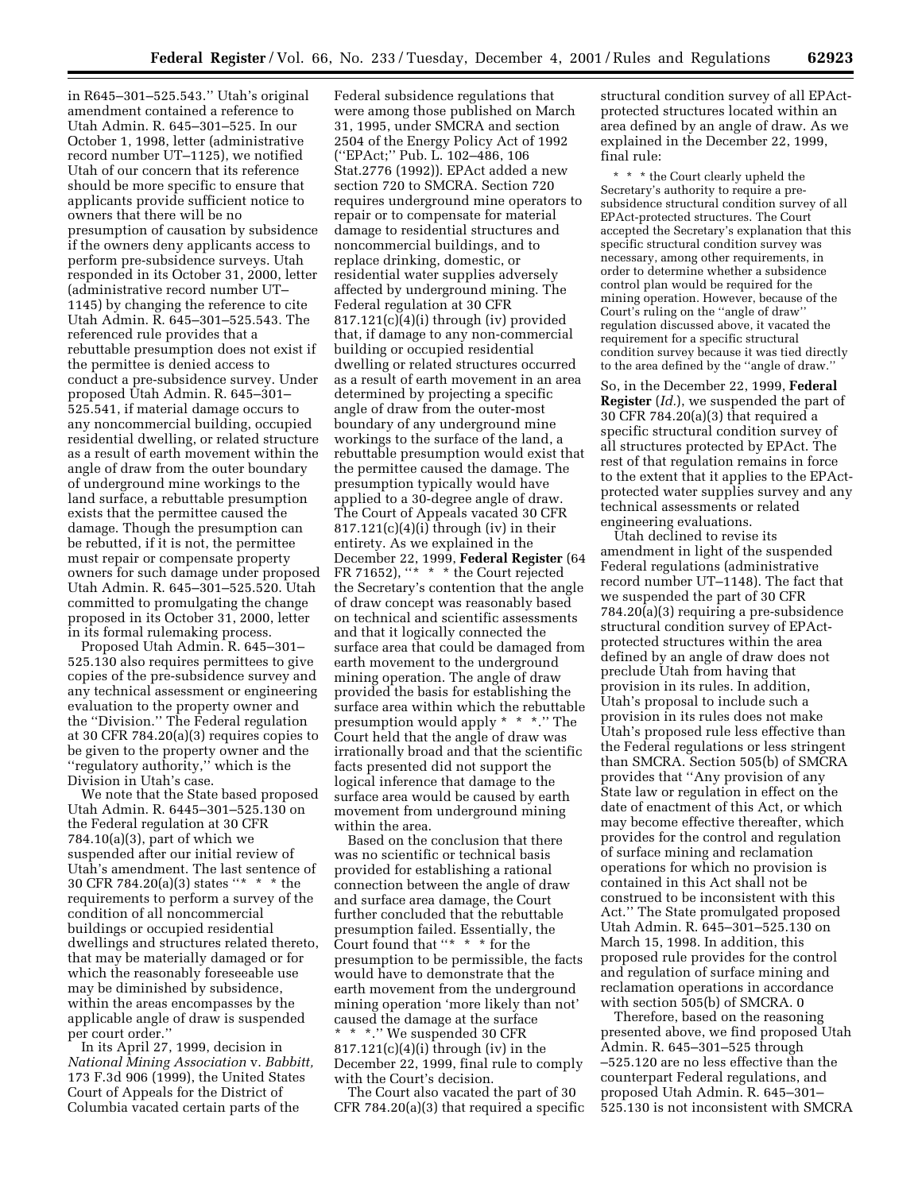in R645–301–525.543.'' Utah's original amendment contained a reference to Utah Admin. R. 645–301–525. In our October 1, 1998, letter (administrative record number UT–1125), we notified Utah of our concern that its reference should be more specific to ensure that applicants provide sufficient notice to owners that there will be no presumption of causation by subsidence if the owners deny applicants access to perform pre-subsidence surveys. Utah responded in its October 31, 2000, letter (administrative record number UT– 1145) by changing the reference to cite Utah Admin. R. 645–301–525.543. The referenced rule provides that a rebuttable presumption does not exist if the permittee is denied access to conduct a pre-subsidence survey. Under proposed Utah Admin. R. 645–301– 525.541, if material damage occurs to any noncommercial building, occupied residential dwelling, or related structure as a result of earth movement within the angle of draw from the outer boundary of underground mine workings to the land surface, a rebuttable presumption exists that the permittee caused the damage. Though the presumption can be rebutted, if it is not, the permittee must repair or compensate property owners for such damage under proposed Utah Admin. R. 645–301–525.520. Utah committed to promulgating the change proposed in its October 31, 2000, letter in its formal rulemaking process.

Proposed Utah Admin. R. 645–301– 525.130 also requires permittees to give copies of the pre-subsidence survey and any technical assessment or engineering evaluation to the property owner and the ''Division.'' The Federal regulation at 30 CFR 784.20(a)(3) requires copies to be given to the property owner and the ''regulatory authority,'' which is the Division in Utah's case.

We note that the State based proposed Utah Admin. R. 6445–301–525.130 on the Federal regulation at 30 CFR 784.10(a)(3), part of which we suspended after our initial review of Utah's amendment. The last sentence of 30 CFR 784.20(a)(3) states ''\* \* \* the requirements to perform a survey of the condition of all noncommercial buildings or occupied residential dwellings and structures related thereto, that may be materially damaged or for which the reasonably foreseeable use may be diminished by subsidence, within the areas encompasses by the applicable angle of draw is suspended per court order.''

In its April 27, 1999, decision in *National Mining Association* v. *Babbitt,* 173 F.3d 906 (1999), the United States Court of Appeals for the District of Columbia vacated certain parts of the

Federal subsidence regulations that were among those published on March 31, 1995, under SMCRA and section 2504 of the Energy Policy Act of 1992 (''EPAct;'' Pub. L. 102–486, 106 Stat.2776 (1992)). EPAct added a new section 720 to SMCRA. Section 720 requires underground mine operators to repair or to compensate for material damage to residential structures and noncommercial buildings, and to replace drinking, domestic, or residential water supplies adversely affected by underground mining. The Federal regulation at 30 CFR 817.121(c)(4)(i) through (iv) provided that, if damage to any non-commercial building or occupied residential dwelling or related structures occurred as a result of earth movement in an area determined by projecting a specific angle of draw from the outer-most boundary of any underground mine workings to the surface of the land, a rebuttable presumption would exist that the permittee caused the damage. The presumption typically would have applied to a 30-degree angle of draw. The Court of Appeals vacated 30 CFR  $817.121(c)(4)(i)$  through (iv) in their entirety. As we explained in the December 22, 1999, **Federal Register** (64 FR 71652), "\* \* \* the Court rejected the Secretary's contention that the angle of draw concept was reasonably based on technical and scientific assessments and that it logically connected the surface area that could be damaged from earth movement to the underground mining operation. The angle of draw provided the basis for establishing the surface area within which the rebuttable presumption would apply \* \* \*.'' The Court held that the angle of draw was irrationally broad and that the scientific facts presented did not support the logical inference that damage to the surface area would be caused by earth movement from underground mining within the area.

Based on the conclusion that there was no scientific or technical basis provided for establishing a rational connection between the angle of draw and surface area damage, the Court further concluded that the rebuttable presumption failed. Essentially, the Court found that ''\* \* \* for the presumption to be permissible, the facts would have to demonstrate that the earth movement from the underground mining operation 'more likely than not' caused the damage at the surface \* \* \*.'' We suspended 30 CFR

 $817.121(c)(4)(i)$  through (iv) in the December 22, 1999, final rule to comply with the Court's decision.

The Court also vacated the part of 30 CFR 784.20(a)(3) that required a specific structural condition survey of all EPActprotected structures located within an area defined by an angle of draw. As we explained in the December 22, 1999, final rule:

\* \* \* the Court clearly upheld the Secretary's authority to require a presubsidence structural condition survey of all EPAct-protected structures. The Court accepted the Secretary's explanation that this specific structural condition survey was necessary, among other requirements, in order to determine whether a subsidence control plan would be required for the mining operation. However, because of the Court's ruling on the ''angle of draw'' regulation discussed above, it vacated the requirement for a specific structural condition survey because it was tied directly to the area defined by the ''angle of draw.''

So, in the December 22, 1999, **Federal Register** (*Id.*), we suspended the part of 30 CFR 784.20(a)(3) that required a specific structural condition survey of all structures protected by EPAct. The rest of that regulation remains in force to the extent that it applies to the EPActprotected water supplies survey and any technical assessments or related engineering evaluations.

Utah declined to revise its amendment in light of the suspended Federal regulations (administrative record number UT–1148). The fact that we suspended the part of 30 CFR 784.20(a)(3) requiring a pre-subsidence structural condition survey of EPActprotected structures within the area defined by an angle of draw does not preclude Utah from having that provision in its rules. In addition, Utah's proposal to include such a provision in its rules does not make Utah's proposed rule less effective than the Federal regulations or less stringent than SMCRA. Section 505(b) of SMCRA provides that ''Any provision of any State law or regulation in effect on the date of enactment of this Act, or which may become effective thereafter, which provides for the control and regulation of surface mining and reclamation operations for which no provision is contained in this Act shall not be construed to be inconsistent with this Act.'' The State promulgated proposed Utah Admin. R. 645–301–525.130 on March 15, 1998. In addition, this proposed rule provides for the control and regulation of surface mining and reclamation operations in accordance with section 505(b) of SMCRA. 0

Therefore, based on the reasoning presented above, we find proposed Utah Admin. R. 645–301–525 through –525.120 are no less effective than the counterpart Federal regulations, and proposed Utah Admin. R. 645–301– 525.130 is not inconsistent with SMCRA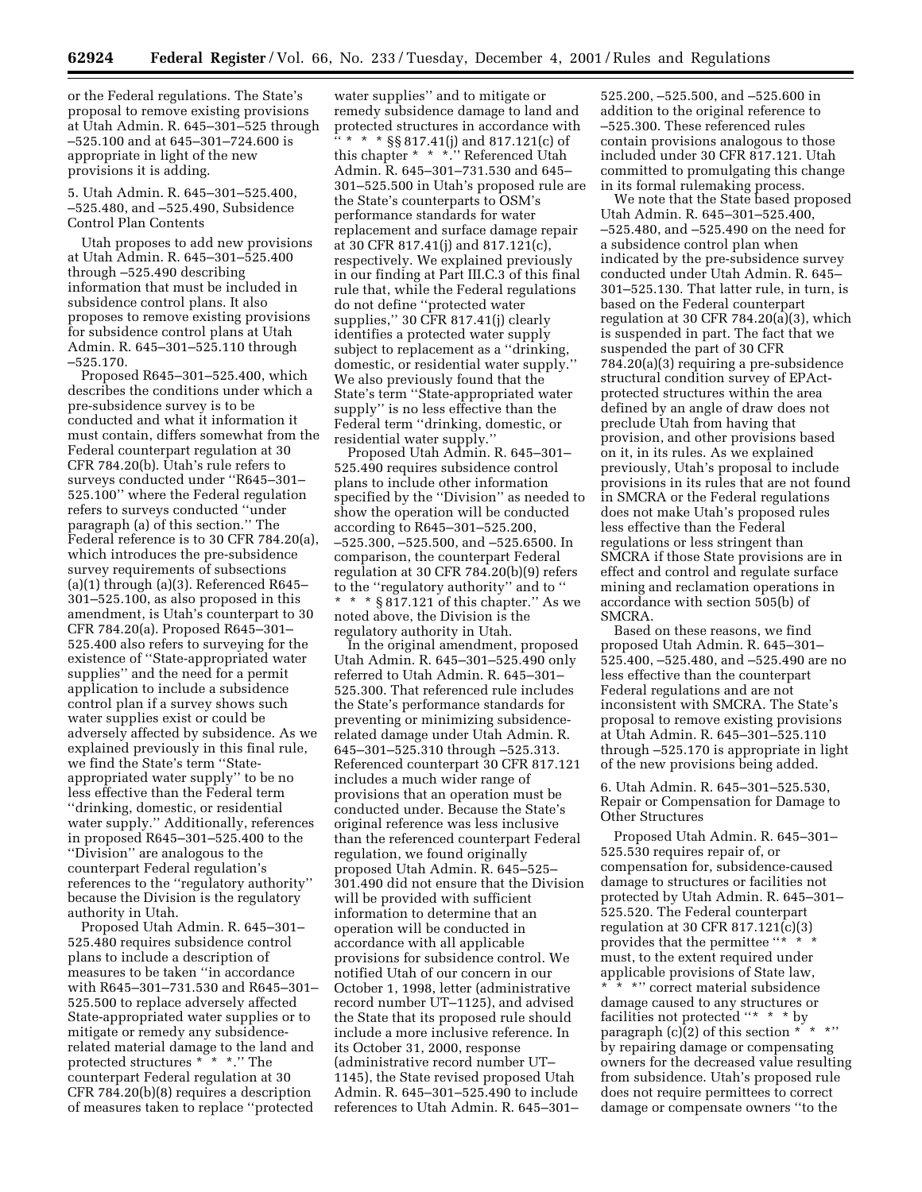or the Federal regulations. The State's proposal to remove existing provisions at Utah Admin. R. 645–301–525 through –525.100 and at 645–301–724.600 is appropriate in light of the new provisions it is adding.

5. Utah Admin. R. 645–301–525.400, –525.480, and –525.490, Subsidence Control Plan Contents

Utah proposes to add new provisions at Utah Admin. R. 645–301–525.400 through –525.490 describing information that must be included in subsidence control plans. It also proposes to remove existing provisions for subsidence control plans at Utah Admin. R. 645–301–525.110 through –525.170.

Proposed R645–301–525.400, which describes the conditions under which a pre-subsidence survey is to be conducted and what it information it must contain, differs somewhat from the Federal counterpart regulation at 30 CFR 784.20(b). Utah's rule refers to surveys conducted under ''R645–301– 525.100'' where the Federal regulation refers to surveys conducted ''under paragraph (a) of this section.'' The Federal reference is to 30 CFR 784.20(a), which introduces the pre-subsidence survey requirements of subsections (a)(1) through (a)(3). Referenced R645– 301–525.100, as also proposed in this amendment, is Utah's counterpart to 30 CFR 784.20(a). Proposed R645–301– 525.400 also refers to surveying for the existence of ''State-appropriated water supplies'' and the need for a permit application to include a subsidence control plan if a survey shows such water supplies exist or could be adversely affected by subsidence. As we explained previously in this final rule, we find the State's term ''Stateappropriated water supply'' to be no less effective than the Federal term ''drinking, domestic, or residential water supply.'' Additionally, references in proposed R645–301–525.400 to the ''Division'' are analogous to the counterpart Federal regulation's references to the ''regulatory authority'' because the Division is the regulatory authority in Utah.

Proposed Utah Admin. R. 645–301– 525.480 requires subsidence control plans to include a description of measures to be taken ''in accordance with R645–301–731.530 and R645–301– 525.500 to replace adversely affected State-appropriated water supplies or to mitigate or remedy any subsidencerelated material damage to the land and protected structures \*  $\check{~}$  \*  $\cdot\;$  ". The counterpart Federal regulation at 30 CFR 784.20(b)(8) requires a description of measures taken to replace ''protected

water supplies'' and to mitigate or remedy subsidence damage to land and protected structures in accordance with '' \* \* \* §§ 817.41(j) and 817.121(c) of this chapter \* \* \*.'' Referenced Utah Admin. R. 645–301–731.530 and 645– 301–525.500 in Utah's proposed rule are the State's counterparts to OSM's performance standards for water replacement and surface damage repair at 30 CFR 817.41(j) and 817.121(c), respectively. We explained previously in our finding at Part III.C.3 of this final rule that, while the Federal regulations do not define ''protected water supplies,'' 30 CFR 817.41(j) clearly identifies a protected water supply subject to replacement as a ''drinking, domestic, or residential water supply.'' We also previously found that the State's term ''State-appropriated water supply'' is no less effective than the Federal term ''drinking, domestic, or residential water supply.''

Proposed Utah Admin. R. 645–301– 525.490 requires subsidence control plans to include other information specified by the ''Division'' as needed to show the operation will be conducted according to R645–301–525.200, –525.300, –525.500, and –525.6500. In comparison, the counterpart Federal regulation at 30 CFR 784.20(b)(9) refers to the ''regulatory authority'' and to '' \* \* \* § 817.121 of this chapter.'' As we noted above, the Division is the regulatory authority in Utah.

In the original amendment, proposed Utah Admin. R. 645–301–525.490 only referred to Utah Admin. R. 645–301– 525.300. That referenced rule includes the State's performance standards for preventing or minimizing subsidencerelated damage under Utah Admin. R. 645–301–525.310 through –525.313. Referenced counterpart 30 CFR 817.121 includes a much wider range of provisions that an operation must be conducted under. Because the State's original reference was less inclusive than the referenced counterpart Federal regulation, we found originally proposed Utah Admin. R. 645–525– 301.490 did not ensure that the Division will be provided with sufficient information to determine that an operation will be conducted in accordance with all applicable provisions for subsidence control. We notified Utah of our concern in our October 1, 1998, letter (administrative record number UT–1125), and advised the State that its proposed rule should include a more inclusive reference. In its October 31, 2000, response (administrative record number UT– 1145), the State revised proposed Utah Admin. R. 645–301–525.490 to include references to Utah Admin. R. 645–301–

525.200, –525.500, and –525.600 in addition to the original reference to –525.300. These referenced rules contain provisions analogous to those included under 30 CFR 817.121. Utah committed to promulgating this change in its formal rulemaking process.

We note that the State based proposed Utah Admin. R. 645–301–525.400, –525.480, and –525.490 on the need for a subsidence control plan when indicated by the pre-subsidence survey conducted under Utah Admin. R. 645– 301–525.130. That latter rule, in turn, is based on the Federal counterpart regulation at 30 CFR 784.20(a)(3), which is suspended in part. The fact that we suspended the part of 30 CFR 784.20(a)(3) requiring a pre-subsidence structural condition survey of EPActprotected structures within the area defined by an angle of draw does not preclude Utah from having that provision, and other provisions based on it, in its rules. As we explained previously, Utah's proposal to include provisions in its rules that are not found in SMCRA or the Federal regulations does not make Utah's proposed rules less effective than the Federal regulations or less stringent than SMCRA if those State provisions are in effect and control and regulate surface mining and reclamation operations in accordance with section 505(b) of SMCRA.

Based on these reasons, we find proposed Utah Admin. R. 645–301– 525.400, –525.480, and –525.490 are no less effective than the counterpart Federal regulations and are not inconsistent with SMCRA. The State's proposal to remove existing provisions at Utah Admin. R. 645–301–525.110 through –525.170 is appropriate in light of the new provisions being added.

6. Utah Admin. R. 645–301–525.530, Repair or Compensation for Damage to Other Structures

Proposed Utah Admin. R. 645–301– 525.530 requires repair of, or compensation for, subsidence-caused damage to structures or facilities not protected by Utah Admin. R. 645–301– 525.520. The Federal counterpart regulation at 30 CFR 817.121(c)(3) provides that the permittee "\* \* \* must, to the extent required under applicable provisions of State law, \* \*" correct material subsidence damage caused to any structures or facilities not protected ''\* \* \* by paragraph (c)(2) of this section  $* \rightarrow *$ " by repairing damage or compensating owners for the decreased value resulting from subsidence. Utah's proposed rule does not require permittees to correct damage or compensate owners ''to the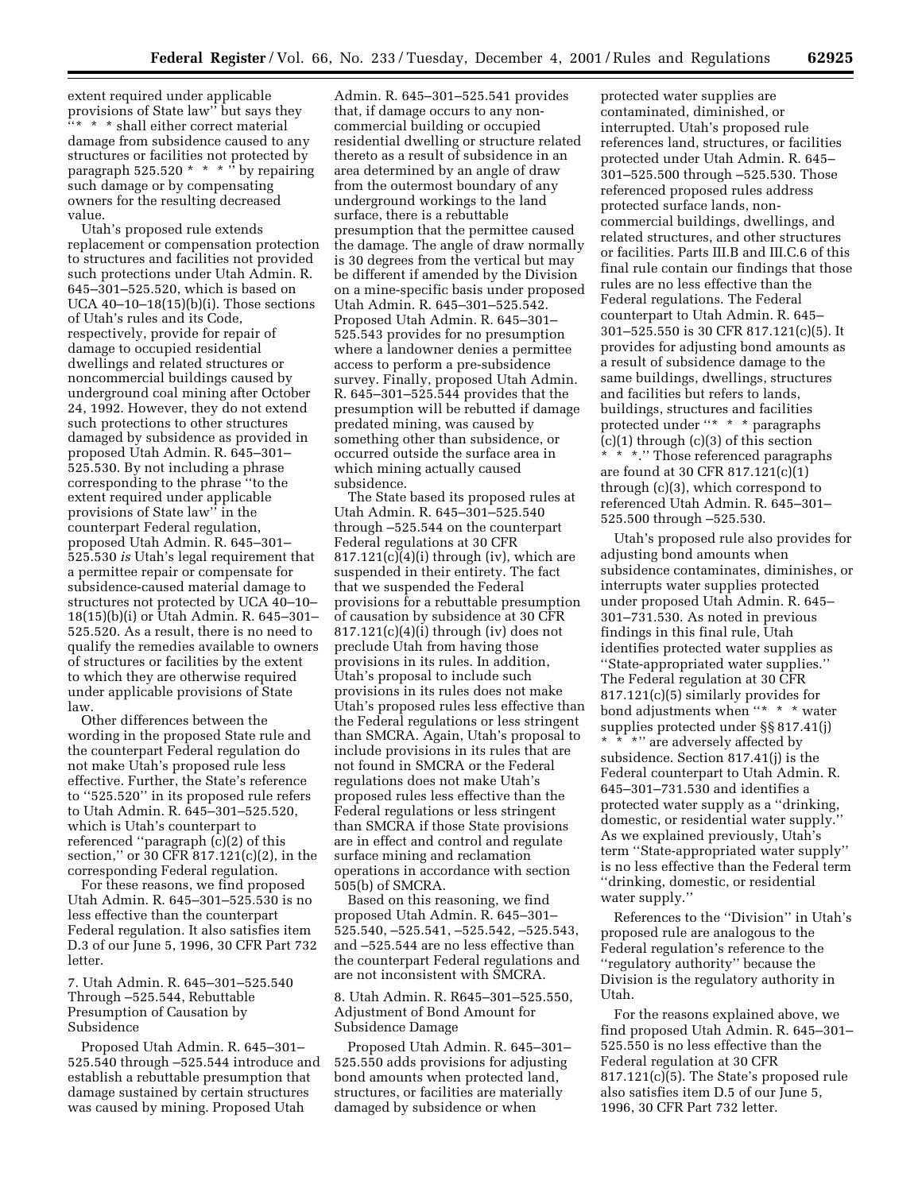extent required under applicable provisions of State law'' but says they ''\* \* \* shall either correct material damage from subsidence caused to any structures or facilities not protected by paragraph  $525.520 * * * "$  by repairing such damage or by compensating owners for the resulting decreased value.

Utah's proposed rule extends replacement or compensation protection to structures and facilities not provided such protections under Utah Admin. R. 645–301–525.520, which is based on UCA  $40-10-18(15)$ (b)(i). Those sections of Utah's rules and its Code, respectively, provide for repair of damage to occupied residential dwellings and related structures or noncommercial buildings caused by underground coal mining after October 24, 1992. However, they do not extend such protections to other structures damaged by subsidence as provided in proposed Utah Admin. R. 645–301– 525.530. By not including a phrase corresponding to the phrase ''to the extent required under applicable provisions of State law'' in the counterpart Federal regulation, proposed Utah Admin. R. 645–301– 525.530 *is* Utah's legal requirement that a permittee repair or compensate for subsidence-caused material damage to structures not protected by UCA 40–10– 18(15)(b)(i) or Utah Admin. R. 645–301– 525.520. As a result, there is no need to qualify the remedies available to owners of structures or facilities by the extent to which they are otherwise required under applicable provisions of State law.

Other differences between the wording in the proposed State rule and the counterpart Federal regulation do not make Utah's proposed rule less effective. Further, the State's reference to ''525.520'' in its proposed rule refers to Utah Admin. R. 645–301–525.520, which is Utah's counterpart to referenced ''paragraph (c)(2) of this section,'' or 30 CFR 817.121(c)(2), in the corresponding Federal regulation.

For these reasons, we find proposed Utah Admin. R. 645–301–525.530 is no less effective than the counterpart Federal regulation. It also satisfies item D.3 of our June 5, 1996, 30 CFR Part 732 letter.

7. Utah Admin. R. 645–301–525.540 Through –525.544, Rebuttable Presumption of Causation by Subsidence

Proposed Utah Admin. R. 645–301– 525.540 through –525.544 introduce and establish a rebuttable presumption that damage sustained by certain structures was caused by mining. Proposed Utah

Admin. R. 645–301–525.541 provides that, if damage occurs to any noncommercial building or occupied residential dwelling or structure related thereto as a result of subsidence in an area determined by an angle of draw from the outermost boundary of any underground workings to the land surface, there is a rebuttable presumption that the permittee caused the damage. The angle of draw normally is 30 degrees from the vertical but may be different if amended by the Division on a mine-specific basis under proposed Utah Admin. R. 645–301–525.542. Proposed Utah Admin. R. 645–301– 525.543 provides for no presumption where a landowner denies a permittee access to perform a pre-subsidence survey. Finally, proposed Utah Admin. R. 645–301–525.544 provides that the presumption will be rebutted if damage predated mining, was caused by something other than subsidence, or occurred outside the surface area in which mining actually caused subsidence.

The State based its proposed rules at Utah Admin. R. 645–301–525.540 through –525.544 on the counterpart Federal regulations at 30 CFR  $817.121(c)(4)(i)$  through (iv), which are suspended in their entirety. The fact that we suspended the Federal provisions for a rebuttable presumption of causation by subsidence at 30 CFR  $817.121(c)(4)(i)$  through (iv) does not preclude Utah from having those provisions in its rules. In addition, Utah's proposal to include such provisions in its rules does not make Utah's proposed rules less effective than the Federal regulations or less stringent than SMCRA. Again, Utah's proposal to include provisions in its rules that are not found in SMCRA or the Federal regulations does not make Utah's proposed rules less effective than the Federal regulations or less stringent than SMCRA if those State provisions are in effect and control and regulate surface mining and reclamation operations in accordance with section 505(b) of SMCRA.

Based on this reasoning, we find proposed Utah Admin. R. 645–301– 525.540, –525.541, –525.542, –525.543, and –525.544 are no less effective than the counterpart Federal regulations and are not inconsistent with SMCRA.

8. Utah Admin. R. R645–301–525.550, Adjustment of Bond Amount for Subsidence Damage

Proposed Utah Admin. R. 645–301– 525.550 adds provisions for adjusting bond amounts when protected land, structures, or facilities are materially damaged by subsidence or when

protected water supplies are contaminated, diminished, or interrupted. Utah's proposed rule references land, structures, or facilities protected under Utah Admin. R. 645– 301–525.500 through –525.530. Those referenced proposed rules address protected surface lands, noncommercial buildings, dwellings, and related structures, and other structures or facilities. Parts III.B and III.C.6 of this final rule contain our findings that those rules are no less effective than the Federal regulations. The Federal counterpart to Utah Admin. R. 645– 301–525.550 is 30 CFR 817.121(c)(5). It provides for adjusting bond amounts as a result of subsidence damage to the same buildings, dwellings, structures and facilities but refers to lands, buildings, structures and facilities protected under ''\* \* \* paragraphs  $(c)(1)$  through  $(c)(3)$  of this section \* \* \*.'' Those referenced paragraphs are found at 30 CFR 817.121(c)(1) through (c)(3), which correspond to referenced Utah Admin. R. 645–301– 525.500 through –525.530.

Utah's proposed rule also provides for adjusting bond amounts when subsidence contaminates, diminishes, or interrupts water supplies protected under proposed Utah Admin. R. 645– 301–731.530. As noted in previous findings in this final rule, Utah identifies protected water supplies as ''State-appropriated water supplies.'' The Federal regulation at 30 CFR 817.121(c)(5) similarly provides for bond adjustments when ''\* \* \* water supplies protected under §§ 817.41(j) \* \* \* \* are adversely affected by subsidence. Section 817.41(j) is the Federal counterpart to Utah Admin. R. 645–301–731.530 and identifies a protected water supply as a ''drinking, domestic, or residential water supply.'' As we explained previously, Utah's term ''State-appropriated water supply'' is no less effective than the Federal term ''drinking, domestic, or residential

water supply.'' References to the ''Division'' in Utah's proposed rule are analogous to the

Federal regulation's reference to the ''regulatory authority'' because the Division is the regulatory authority in Utah.

For the reasons explained above, we find proposed Utah Admin. R. 645–301– 525.550 is no less effective than the Federal regulation at 30 CFR 817.121(c)(5). The State's proposed rule also satisfies item D.5 of our June 5, 1996, 30 CFR Part 732 letter.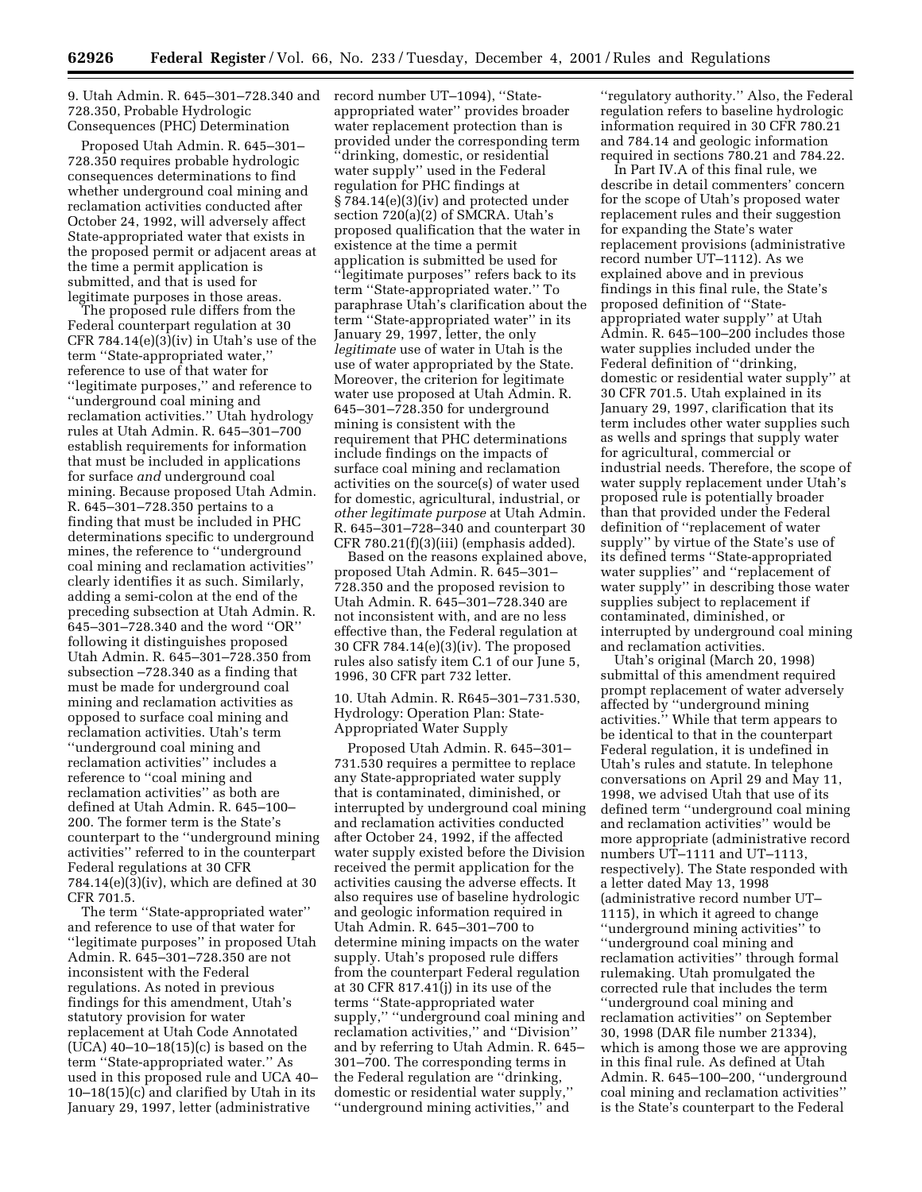9. Utah Admin. R. 645–301–728.340 and record number UT–1094), ''State-728.350, Probable Hydrologic Consequences (PHC) Determination

Proposed Utah Admin. R. 645–301– 728.350 requires probable hydrologic consequences determinations to find whether underground coal mining and reclamation activities conducted after October 24, 1992, will adversely affect State-appropriated water that exists in the proposed permit or adjacent areas at the time a permit application is submitted, and that is used for legitimate purposes in those areas.

The proposed rule differs from the Federal counterpart regulation at 30 CFR  $784.14(e)(3)(iv)$  in Utah's use of the term ''State-appropriated water,'' reference to use of that water for ''legitimate purposes,'' and reference to ''underground coal mining and reclamation activities.'' Utah hydrology rules at Utah Admin. R. 645–301–700 establish requirements for information that must be included in applications for surface *and* underground coal mining. Because proposed Utah Admin. R. 645–301–728.350 pertains to a finding that must be included in PHC determinations specific to underground mines, the reference to ''underground coal mining and reclamation activities'' clearly identifies it as such. Similarly, adding a semi-colon at the end of the preceding subsection at Utah Admin. R. 645–301–728.340 and the word ''OR'' following it distinguishes proposed Utah Admin. R. 645–301–728.350 from subsection –728.340 as a finding that must be made for underground coal mining and reclamation activities as opposed to surface coal mining and reclamation activities. Utah's term ''underground coal mining and reclamation activities'' includes a reference to ''coal mining and reclamation activities'' as both are defined at Utah Admin. R. 645–100– 200. The former term is the State's counterpart to the ''underground mining activities'' referred to in the counterpart Federal regulations at 30 CFR 784.14(e)(3)(iv), which are defined at 30 CFR 701.5.

The term ''State-appropriated water'' and reference to use of that water for ''legitimate purposes'' in proposed Utah Admin. R. 645–301–728.350 are not inconsistent with the Federal regulations. As noted in previous findings for this amendment, Utah's statutory provision for water replacement at Utah Code Annotated (UCA) 40–10–18(15)(c) is based on the term ''State-appropriated water.'' As used in this proposed rule and UCA 40–  $10-18(15)(c)$  and clarified by Utah in its January 29, 1997, letter (administrative

appropriated water'' provides broader water replacement protection than is provided under the corresponding term ''drinking, domestic, or residential water supply'' used in the Federal regulation for PHC findings at § 784.14(e)(3)(iv) and protected under section 720(a)(2) of SMCRA. Utah's proposed qualification that the water in existence at the time a permit application is submitted be used for ''legitimate purposes'' refers back to its term ''State-appropriated water.'' To paraphrase Utah's clarification about the term ''State-appropriated water'' in its January 29, 1997, letter, the only *legitimate* use of water in Utah is the use of water appropriated by the State. Moreover, the criterion for legitimate water use proposed at Utah Admin. R. 645–301–728.350 for underground mining is consistent with the requirement that PHC determinations include findings on the impacts of surface coal mining and reclamation activities on the source(s) of water used for domestic, agricultural, industrial, or *other legitimate purpose* at Utah Admin. R. 645–301–728–340 and counterpart 30 CFR 780.21(f)(3)(iii) (emphasis added).

Based on the reasons explained above, proposed Utah Admin. R. 645–301– 728.350 and the proposed revision to Utah Admin. R. 645–301–728.340 are not inconsistent with, and are no less effective than, the Federal regulation at 30 CFR 784.14(e)(3)(iv). The proposed rules also satisfy item C.1 of our June 5, 1996, 30 CFR part 732 letter.

10. Utah Admin. R. R645–301–731.530, Hydrology: Operation Plan: State-Appropriated Water Supply

Proposed Utah Admin. R. 645–301– 731.530 requires a permittee to replace any State-appropriated water supply that is contaminated, diminished, or interrupted by underground coal mining and reclamation activities conducted after October 24, 1992, if the affected water supply existed before the Division received the permit application for the activities causing the adverse effects. It also requires use of baseline hydrologic and geologic information required in Utah Admin. R. 645–301–700 to determine mining impacts on the water supply. Utah's proposed rule differs from the counterpart Federal regulation at 30 CFR 817.41(j) in its use of the terms ''State-appropriated water supply,'' ''underground coal mining and reclamation activities,'' and ''Division'' and by referring to Utah Admin. R. 645– 301–700. The corresponding terms in the Federal regulation are ''drinking, domestic or residential water supply,'' ''underground mining activities,'' and

''regulatory authority.'' Also, the Federal regulation refers to baseline hydrologic information required in 30 CFR 780.21 and 784.14 and geologic information required in sections 780.21 and 784.22.

In Part IV.A of this final rule, we describe in detail commenters' concern for the scope of Utah's proposed water replacement rules and their suggestion for expanding the State's water replacement provisions (administrative record number UT–1112). As we explained above and in previous findings in this final rule, the State's proposed definition of ''Stateappropriated water supply'' at Utah Admin. R. 645–100–200 includes those water supplies included under the Federal definition of ''drinking, domestic or residential water supply'' at 30 CFR 701.5. Utah explained in its January 29, 1997, clarification that its term includes other water supplies such as wells and springs that supply water for agricultural, commercial or industrial needs. Therefore, the scope of water supply replacement under Utah's proposed rule is potentially broader than that provided under the Federal definition of ''replacement of water supply'' by virtue of the State's use of its defined terms ''State-appropriated water supplies'' and ''replacement of water supply'' in describing those water supplies subject to replacement if contaminated, diminished, or interrupted by underground coal mining and reclamation activities.

Utah's original (March 20, 1998) submittal of this amendment required prompt replacement of water adversely affected by ''underground mining activities.'' While that term appears to be identical to that in the counterpart Federal regulation, it is undefined in Utah's rules and statute. In telephone conversations on April 29 and May 11, 1998, we advised Utah that use of its defined term ''underground coal mining and reclamation activities'' would be more appropriate (administrative record numbers UT–1111 and UT–1113, respectively). The State responded with a letter dated May 13, 1998 (administrative record number UT– 1115), in which it agreed to change ''underground mining activities'' to ''underground coal mining and reclamation activities'' through formal rulemaking. Utah promulgated the corrected rule that includes the term ''underground coal mining and reclamation activities'' on September 30, 1998 (DAR file number 21334), which is among those we are approving in this final rule. As defined at Utah Admin. R. 645–100–200, ''underground coal mining and reclamation activities'' is the State's counterpart to the Federal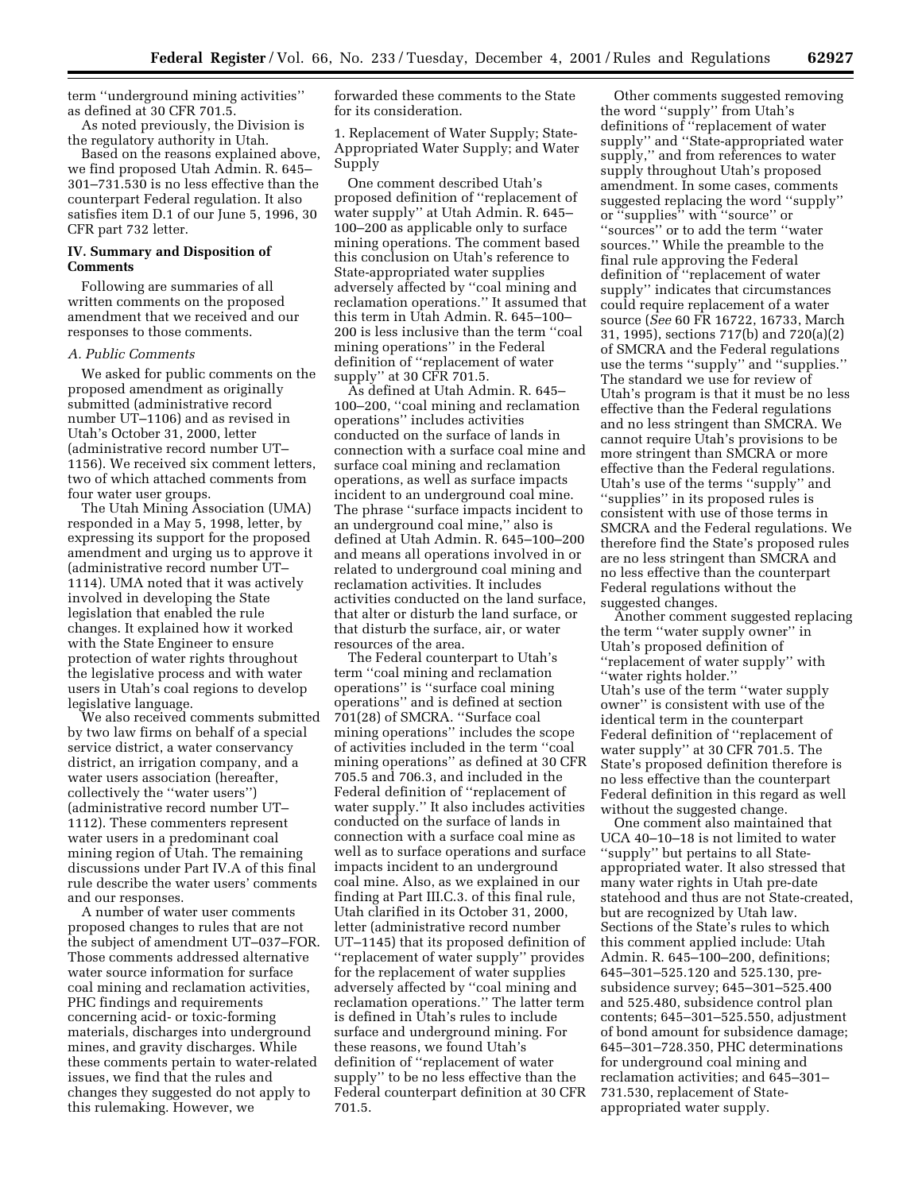term ''underground mining activities'' as defined at 30 CFR 701.5.

As noted previously, the Division is the regulatory authority in Utah.

Based on the reasons explained above, we find proposed Utah Admin. R. 645– 301–731.530 is no less effective than the counterpart Federal regulation. It also satisfies item D.1 of our June 5, 1996, 30 CFR part 732 letter.

#### **IV. Summary and Disposition of Comments**

Following are summaries of all written comments on the proposed amendment that we received and our responses to those comments.

#### *A. Public Comments*

We asked for public comments on the proposed amendment as originally submitted (administrative record number UT–1106) and as revised in Utah's October 31, 2000, letter (administrative record number UT– 1156). We received six comment letters, two of which attached comments from four water user groups.

The Utah Mining Association (UMA) responded in a May 5, 1998, letter, by expressing its support for the proposed amendment and urging us to approve it (administrative record number UT– 1114). UMA noted that it was actively involved in developing the State legislation that enabled the rule changes. It explained how it worked with the State Engineer to ensure protection of water rights throughout the legislative process and with water users in Utah's coal regions to develop legislative language.

We also received comments submitted by two law firms on behalf of a special service district, a water conservancy district, an irrigation company, and a water users association (hereafter, collectively the ''water users'') (administrative record number UT– 1112). These commenters represent water users in a predominant coal mining region of Utah. The remaining discussions under Part IV.A of this final rule describe the water users' comments and our responses.

A number of water user comments proposed changes to rules that are not the subject of amendment UT–037–FOR. Those comments addressed alternative water source information for surface coal mining and reclamation activities, PHC findings and requirements concerning acid- or toxic-forming materials, discharges into underground mines, and gravity discharges. While these comments pertain to water-related issues, we find that the rules and changes they suggested do not apply to this rulemaking. However, we

forwarded these comments to the State for its consideration.

1. Replacement of Water Supply; State-Appropriated Water Supply; and Water Supply

One comment described Utah's proposed definition of ''replacement of water supply'' at Utah Admin. R. 645– 100–200 as applicable only to surface mining operations. The comment based this conclusion on Utah's reference to State-appropriated water supplies adversely affected by ''coal mining and reclamation operations.'' It assumed that this term in Utah Admin. R. 645–100– 200 is less inclusive than the term ''coal mining operations'' in the Federal definition of ''replacement of water supply'' at 30 CFR 701.5.

As defined at Utah Admin. R. 645– 100–200, ''coal mining and reclamation operations'' includes activities conducted on the surface of lands in connection with a surface coal mine and surface coal mining and reclamation operations, as well as surface impacts incident to an underground coal mine. The phrase ''surface impacts incident to an underground coal mine,'' also is defined at Utah Admin. R. 645–100–200 and means all operations involved in or related to underground coal mining and reclamation activities. It includes activities conducted on the land surface, that alter or disturb the land surface, or that disturb the surface, air, or water resources of the area.

The Federal counterpart to Utah's term ''coal mining and reclamation operations'' is ''surface coal mining operations'' and is defined at section 701(28) of SMCRA. ''Surface coal mining operations'' includes the scope of activities included in the term ''coal mining operations'' as defined at 30 CFR 705.5 and 706.3, and included in the Federal definition of ''replacement of water supply.'' It also includes activities conducted on the surface of lands in connection with a surface coal mine as well as to surface operations and surface impacts incident to an underground coal mine. Also, as we explained in our finding at Part III.C.3. of this final rule, Utah clarified in its October 31, 2000, letter (administrative record number UT–1145) that its proposed definition of ''replacement of water supply'' provides for the replacement of water supplies adversely affected by ''coal mining and reclamation operations.'' The latter term is defined in Utah's rules to include surface and underground mining. For these reasons, we found Utah's definition of ''replacement of water supply'' to be no less effective than the Federal counterpart definition at 30 CFR 701.5.

Other comments suggested removing the word ''supply'' from Utah's definitions of ''replacement of water supply'' and ''State-appropriated water supply,'' and from references to water supply throughout Utah's proposed amendment. In some cases, comments suggested replacing the word ''supply'' or ''supplies'' with ''source'' or ''sources'' or to add the term ''water sources.'' While the preamble to the final rule approving the Federal definition of ''replacement of water supply'' indicates that circumstances could require replacement of a water source (*See* 60 FR 16722, 16733, March 31, 1995), sections 717(b) and 720(a)(2) of SMCRA and the Federal regulations use the terms ''supply'' and ''supplies.'' The standard we use for review of Utah's program is that it must be no less effective than the Federal regulations and no less stringent than SMCRA. We cannot require Utah's provisions to be more stringent than SMCRA or more effective than the Federal regulations. Utah's use of the terms ''supply'' and ''supplies'' in its proposed rules is consistent with use of those terms in SMCRA and the Federal regulations. We therefore find the State's proposed rules are no less stringent than SMCRA and no less effective than the counterpart Federal regulations without the suggested changes.

Another comment suggested replacing the term ''water supply owner'' in Utah's proposed definition of ''replacement of water supply'' with ''water rights holder.'' Utah's use of the term ''water supply owner'' is consistent with use of the identical term in the counterpart Federal definition of ''replacement of water supply'' at 30 CFR 701.5. The State's proposed definition therefore is no less effective than the counterpart Federal definition in this regard as well without the suggested change.

One comment also maintained that UCA 40–10–18 is not limited to water ''supply'' but pertains to all Stateappropriated water. It also stressed that many water rights in Utah pre-date statehood and thus are not State-created, but are recognized by Utah law. Sections of the State's rules to which this comment applied include: Utah Admin. R. 645–100–200, definitions; 645–301–525.120 and 525.130, presubsidence survey; 645–301–525.400 and 525.480, subsidence control plan contents; 645–301–525.550, adjustment of bond amount for subsidence damage; 645–301–728.350, PHC determinations for underground coal mining and reclamation activities; and 645–301– 731.530, replacement of Stateappropriated water supply.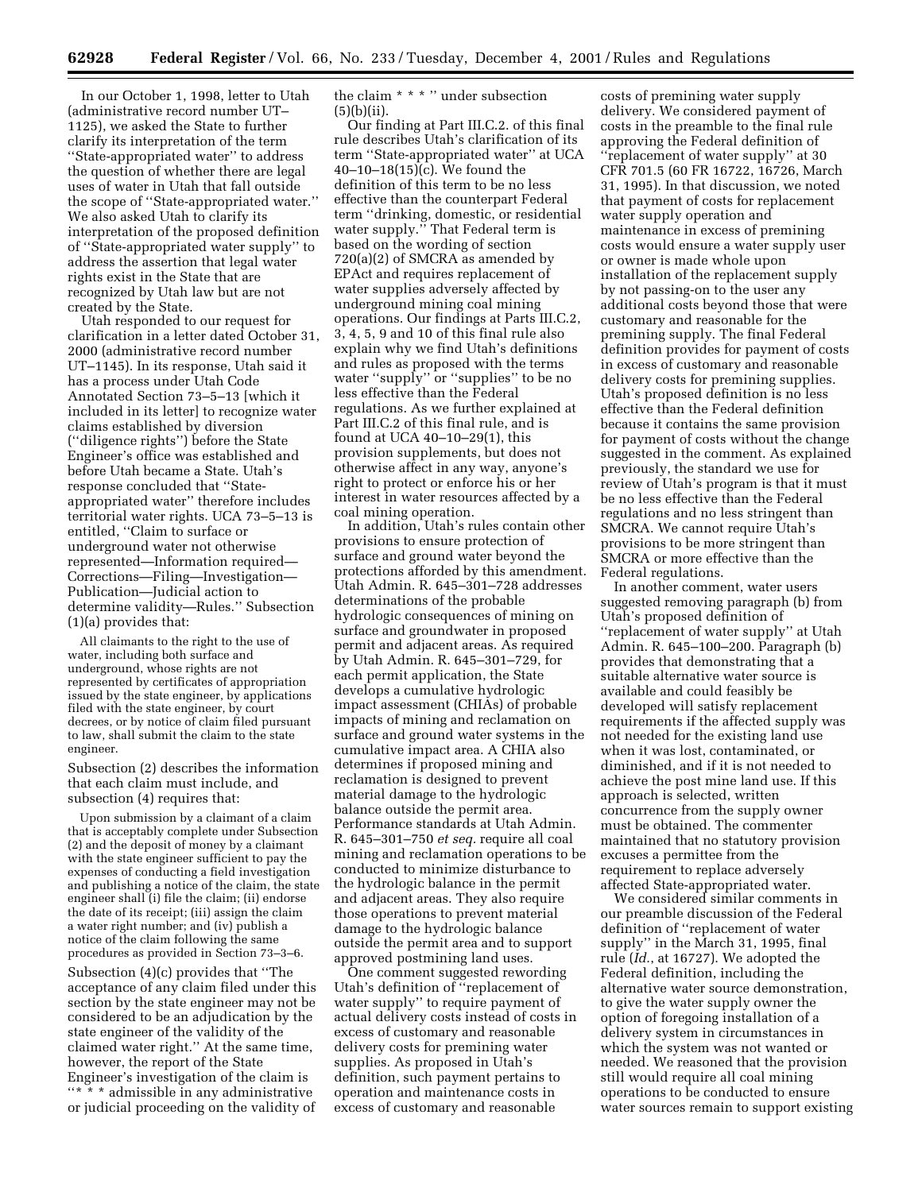In our October 1, 1998, letter to Utah (administrative record number UT– 1125), we asked the State to further clarify its interpretation of the term ''State-appropriated water'' to address the question of whether there are legal uses of water in Utah that fall outside the scope of ''State-appropriated water.'' We also asked Utah to clarify its interpretation of the proposed definition of ''State-appropriated water supply'' to address the assertion that legal water rights exist in the State that are recognized by Utah law but are not created by the State.

Utah responded to our request for clarification in a letter dated October 31, 2000 (administrative record number UT–1145). In its response, Utah said it has a process under Utah Code Annotated Section 73–5–13 [which it included in its letter] to recognize water claims established by diversion (''diligence rights'') before the State Engineer's office was established and before Utah became a State. Utah's response concluded that ''Stateappropriated water'' therefore includes territorial water rights. UCA 73–5–13 is entitled, ''Claim to surface or underground water not otherwise represented—Information required— Corrections—Filing—Investigation— Publication—Judicial action to determine validity—Rules.'' Subsection (1)(a) provides that:

All claimants to the right to the use of water, including both surface and underground, whose rights are not represented by certificates of appropriation issued by the state engineer, by applications filed with the state engineer, by court decrees, or by notice of claim filed pursuant to law, shall submit the claim to the state engineer.

Subsection (2) describes the information that each claim must include, and subsection (4) requires that:

Upon submission by a claimant of a claim that is acceptably complete under Subsection (2) and the deposit of money by a claimant with the state engineer sufficient to pay the expenses of conducting a field investigation and publishing a notice of the claim, the state engineer shall (i) file the claim; (ii) endorse the date of its receipt; (iii) assign the claim a water right number; and (iv) publish a notice of the claim following the same procedures as provided in Section 73–3–6.

Subsection (4)(c) provides that ''The acceptance of any claim filed under this section by the state engineer may not be considered to be an adjudication by the state engineer of the validity of the claimed water right.'' At the same time, however, the report of the State Engineer's investigation of the claim is "\* \* \* admissible in any administrative or judicial proceeding on the validity of

the claim \* \* \* '' under subsection (5)(b)(ii).

Our finding at Part III.C.2. of this final rule describes Utah's clarification of its term ''State-appropriated water'' at UCA 40–10–18(15)(c). We found the definition of this term to be no less effective than the counterpart Federal term ''drinking, domestic, or residential water supply.'' That Federal term is based on the wording of section 720(a)(2) of SMCRA as amended by EPAct and requires replacement of water supplies adversely affected by underground mining coal mining operations. Our findings at Parts III.C.2, 3, 4, 5, 9 and 10 of this final rule also explain why we find Utah's definitions and rules as proposed with the terms water ''supply'' or ''supplies'' to be no less effective than the Federal regulations. As we further explained at Part III.C.2 of this final rule, and is found at UCA 40–10–29(1), this provision supplements, but does not otherwise affect in any way, anyone's right to protect or enforce his or her interest in water resources affected by a coal mining operation.

In addition, Utah's rules contain other provisions to ensure protection of surface and ground water beyond the protections afforded by this amendment. Utah Admin. R. 645–301–728 addresses determinations of the probable hydrologic consequences of mining on surface and groundwater in proposed permit and adjacent areas. As required by Utah Admin. R. 645–301–729, for each permit application, the State develops a cumulative hydrologic impact assessment (CHIAs) of probable impacts of mining and reclamation on surface and ground water systems in the cumulative impact area. A CHIA also determines if proposed mining and reclamation is designed to prevent material damage to the hydrologic balance outside the permit area. Performance standards at Utah Admin. R. 645–301–750 *et seq.* require all coal mining and reclamation operations to be conducted to minimize disturbance to the hydrologic balance in the permit and adjacent areas. They also require those operations to prevent material damage to the hydrologic balance outside the permit area and to support approved postmining land uses.

One comment suggested rewording Utah's definition of ''replacement of water supply'' to require payment of actual delivery costs instead of costs in excess of customary and reasonable delivery costs for premining water supplies. As proposed in Utah's definition, such payment pertains to operation and maintenance costs in excess of customary and reasonable

costs of premining water supply delivery. We considered payment of costs in the preamble to the final rule approving the Federal definition of ''replacement of water supply'' at 30 CFR 701.5 (60 FR 16722, 16726, March 31, 1995). In that discussion, we noted that payment of costs for replacement water supply operation and maintenance in excess of premining costs would ensure a water supply user or owner is made whole upon installation of the replacement supply by not passing-on to the user any additional costs beyond those that were customary and reasonable for the premining supply. The final Federal definition provides for payment of costs in excess of customary and reasonable delivery costs for premining supplies. Utah's proposed definition is no less effective than the Federal definition because it contains the same provision for payment of costs without the change suggested in the comment. As explained previously, the standard we use for review of Utah's program is that it must be no less effective than the Federal regulations and no less stringent than SMCRA. We cannot require Utah's provisions to be more stringent than SMCRA or more effective than the Federal regulations.

In another comment, water users suggested removing paragraph (b) from Utah's proposed definition of ''replacement of water supply'' at Utah Admin. R. 645–100–200. Paragraph (b) provides that demonstrating that a suitable alternative water source is available and could feasibly be developed will satisfy replacement requirements if the affected supply was not needed for the existing land use when it was lost, contaminated, or diminished, and if it is not needed to achieve the post mine land use. If this approach is selected, written concurrence from the supply owner must be obtained. The commenter maintained that no statutory provision excuses a permittee from the requirement to replace adversely affected State-appropriated water.

We considered similar comments in our preamble discussion of the Federal definition of ''replacement of water supply'' in the March 31, 1995, final rule (*Id*., at 16727). We adopted the Federal definition, including the alternative water source demonstration, to give the water supply owner the option of foregoing installation of a delivery system in circumstances in which the system was not wanted or needed. We reasoned that the provision still would require all coal mining operations to be conducted to ensure water sources remain to support existing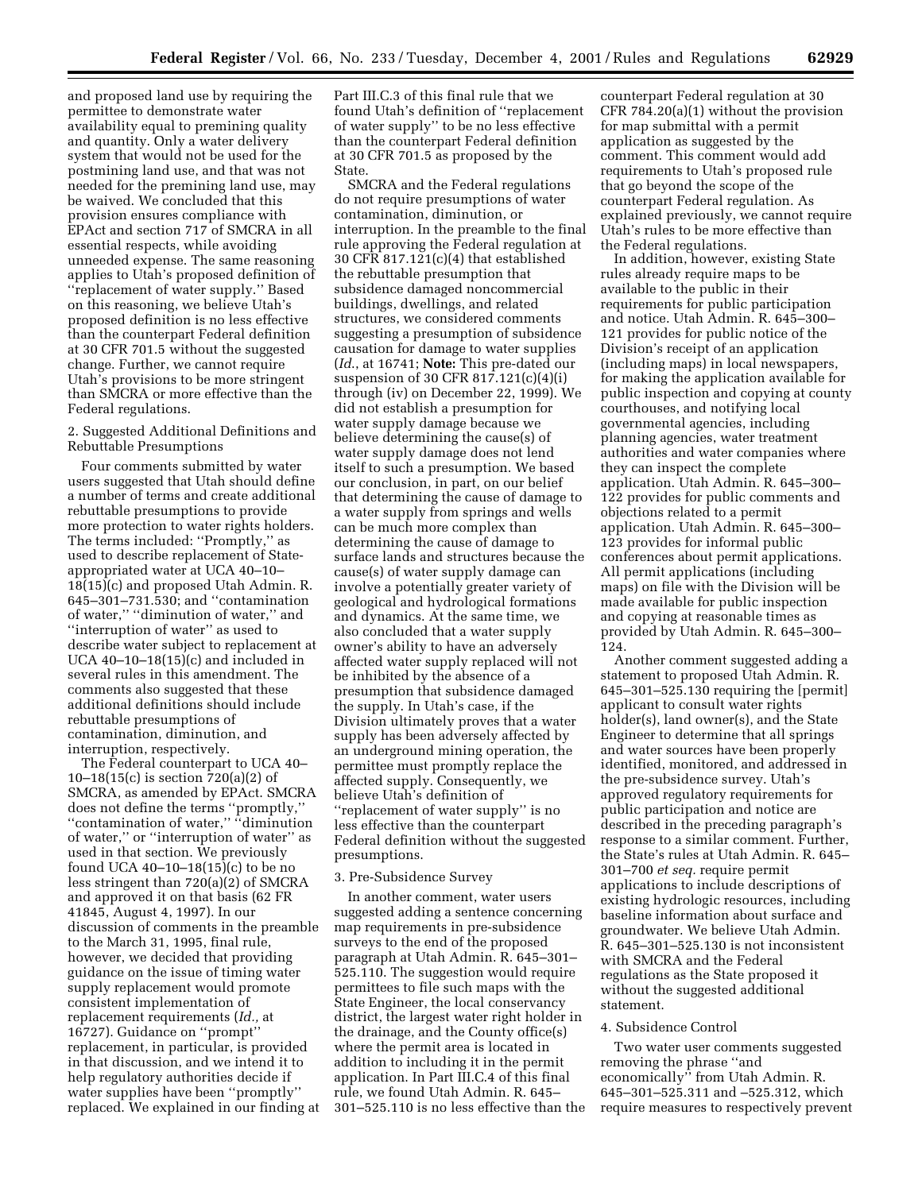and proposed land use by requiring the permittee to demonstrate water availability equal to premining quality and quantity. Only a water delivery system that would not be used for the postmining land use, and that was not needed for the premining land use, may be waived. We concluded that this provision ensures compliance with EPAct and section 717 of SMCRA in all essential respects, while avoiding unneeded expense. The same reasoning applies to Utah's proposed definition of ''replacement of water supply.'' Based on this reasoning, we believe Utah's proposed definition is no less effective than the counterpart Federal definition at 30 CFR 701.5 without the suggested change. Further, we cannot require Utah's provisions to be more stringent than SMCRA or more effective than the Federal regulations.

## 2. Suggested Additional Definitions and Rebuttable Presumptions

Four comments submitted by water users suggested that Utah should define a number of terms and create additional rebuttable presumptions to provide more protection to water rights holders. The terms included: ''Promptly,'' as used to describe replacement of Stateappropriated water at UCA 40–10– 18(15)(c) and proposed Utah Admin. R. 645–301–731.530; and ''contamination of water,'' ''diminution of water,'' and ''interruption of water'' as used to describe water subject to replacement at UCA  $40-10-18(15)$ (c) and included in several rules in this amendment. The comments also suggested that these additional definitions should include rebuttable presumptions of contamination, diminution, and interruption, respectively.

The Federal counterpart to UCA 40– 10–18(15(c) is section 720(a)(2) of SMCRA, as amended by EPAct. SMCRA does not define the terms ''promptly,'' ''contamination of water,'' ''diminution of water,'' or ''interruption of water'' as used in that section. We previously found UCA 40–10–18(15)(c) to be no less stringent than 720(a)(2) of SMCRA and approved it on that basis (62 FR 41845, August 4, 1997). In our discussion of comments in the preamble to the March 31, 1995, final rule, however, we decided that providing guidance on the issue of timing water supply replacement would promote consistent implementation of replacement requirements (*Id.,* at 16727). Guidance on ''prompt'' replacement, in particular, is provided in that discussion, and we intend it to help regulatory authorities decide if water supplies have been ''promptly'' replaced. We explained in our finding at Part III.C.3 of this final rule that we found Utah's definition of ''replacement of water supply'' to be no less effective than the counterpart Federal definition at 30 CFR 701.5 as proposed by the State.

SMCRA and the Federal regulations do not require presumptions of water contamination, diminution, or interruption. In the preamble to the final rule approving the Federal regulation at 30 CFR 817.121(c)(4) that established the rebuttable presumption that subsidence damaged noncommercial buildings, dwellings, and related structures, we considered comments suggesting a presumption of subsidence causation for damage to water supplies (*Id*., at 16741; **Note:** This pre-dated our suspension of 30 CFR 817.121(c)(4)(i) through (iv) on December 22, 1999). We did not establish a presumption for water supply damage because we believe determining the cause(s) of water supply damage does not lend itself to such a presumption. We based our conclusion, in part, on our belief that determining the cause of damage to a water supply from springs and wells can be much more complex than determining the cause of damage to surface lands and structures because the cause(s) of water supply damage can involve a potentially greater variety of geological and hydrological formations and dynamics. At the same time, we also concluded that a water supply owner's ability to have an adversely affected water supply replaced will not be inhibited by the absence of a presumption that subsidence damaged the supply. In Utah's case, if the Division ultimately proves that a water supply has been adversely affected by an underground mining operation, the permittee must promptly replace the affected supply. Consequently, we believe Utah's definition of ''replacement of water supply'' is no less effective than the counterpart Federal definition without the suggested presumptions.

#### 3. Pre-Subsidence Survey

In another comment, water users suggested adding a sentence concerning map requirements in pre-subsidence surveys to the end of the proposed paragraph at Utah Admin. R. 645–301– 525.110. The suggestion would require permittees to file such maps with the State Engineer, the local conservancy district, the largest water right holder in the drainage, and the County office(s) where the permit area is located in addition to including it in the permit application. In Part III.C.4 of this final rule, we found Utah Admin. R. 645– 301–525.110 is no less effective than the counterpart Federal regulation at 30 CFR 784.20(a)(1) without the provision for map submittal with a permit application as suggested by the comment. This comment would add requirements to Utah's proposed rule that go beyond the scope of the counterpart Federal regulation. As explained previously, we cannot require Utah's rules to be more effective than the Federal regulations.

In addition, however, existing State rules already require maps to be available to the public in their requirements for public participation and notice. Utah Admin. R. 645–300– 121 provides for public notice of the Division's receipt of an application (including maps) in local newspapers, for making the application available for public inspection and copying at county courthouses, and notifying local governmental agencies, including planning agencies, water treatment authorities and water companies where they can inspect the complete application. Utah Admin. R. 645–300– 122 provides for public comments and objections related to a permit application. Utah Admin. R. 645–300– 123 provides for informal public conferences about permit applications. All permit applications (including maps) on file with the Division will be made available for public inspection and copying at reasonable times as provided by Utah Admin. R. 645–300– 124.

Another comment suggested adding a statement to proposed Utah Admin. R. 645–301–525.130 requiring the [permit] applicant to consult water rights holder(s), land owner(s), and the State Engineer to determine that all springs and water sources have been properly identified, monitored, and addressed in the pre-subsidence survey. Utah's approved regulatory requirements for public participation and notice are described in the preceding paragraph's response to a similar comment. Further, the State's rules at Utah Admin. R. 645– 301–700 *et seq.* require permit applications to include descriptions of existing hydrologic resources, including baseline information about surface and groundwater. We believe Utah Admin. R. 645–301–525.130 is not inconsistent with SMCRA and the Federal regulations as the State proposed it without the suggested additional statement.

#### 4. Subsidence Control

Two water user comments suggested removing the phrase ''and economically'' from Utah Admin. R. 645–301–525.311 and –525.312, which require measures to respectively prevent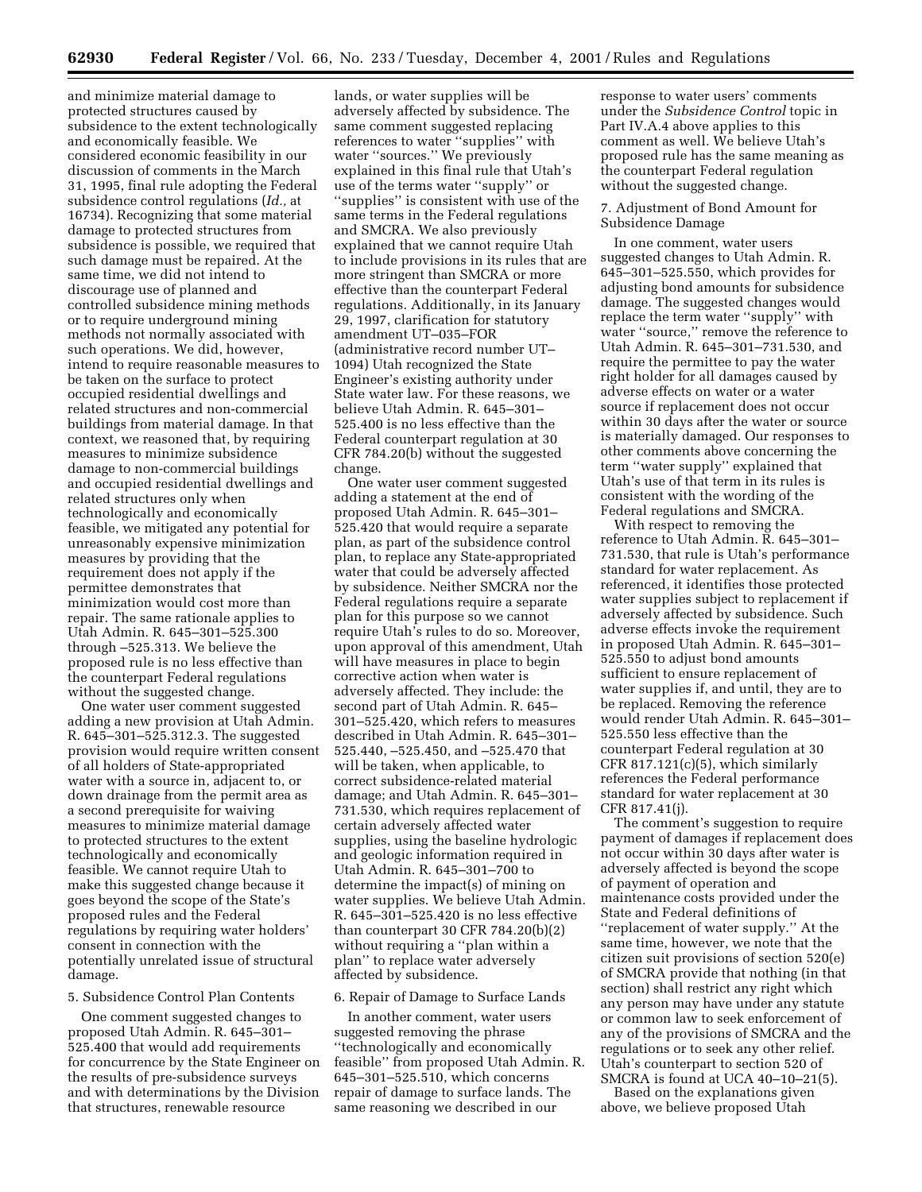and minimize material damage to protected structures caused by subsidence to the extent technologically and economically feasible. We considered economic feasibility in our discussion of comments in the March 31, 1995, final rule adopting the Federal subsidence control regulations (*Id.,* at 16734). Recognizing that some material damage to protected structures from subsidence is possible, we required that such damage must be repaired. At the same time, we did not intend to discourage use of planned and controlled subsidence mining methods or to require underground mining methods not normally associated with such operations. We did, however, intend to require reasonable measures to be taken on the surface to protect occupied residential dwellings and related structures and non-commercial buildings from material damage. In that context, we reasoned that, by requiring measures to minimize subsidence damage to non-commercial buildings and occupied residential dwellings and related structures only when technologically and economically feasible, we mitigated any potential for unreasonably expensive minimization measures by providing that the requirement does not apply if the permittee demonstrates that minimization would cost more than repair. The same rationale applies to Utah Admin. R. 645–301–525.300 through –525.313. We believe the proposed rule is no less effective than the counterpart Federal regulations without the suggested change.

One water user comment suggested adding a new provision at Utah Admin. R. 645–301–525.312.3. The suggested provision would require written consent of all holders of State-appropriated water with a source in, adjacent to, or down drainage from the permit area as a second prerequisite for waiving measures to minimize material damage to protected structures to the extent technologically and economically feasible. We cannot require Utah to make this suggested change because it goes beyond the scope of the State's proposed rules and the Federal regulations by requiring water holders' consent in connection with the potentially unrelated issue of structural damage.

#### 5. Subsidence Control Plan Contents

One comment suggested changes to proposed Utah Admin. R. 645–301– 525.400 that would add requirements for concurrence by the State Engineer on the results of pre-subsidence surveys and with determinations by the Division that structures, renewable resource

lands, or water supplies will be adversely affected by subsidence. The same comment suggested replacing references to water ''supplies'' with water "sources." We previously explained in this final rule that Utah's use of the terms water ''supply'' or ''supplies'' is consistent with use of the same terms in the Federal regulations and SMCRA. We also previously explained that we cannot require Utah to include provisions in its rules that are more stringent than SMCRA or more effective than the counterpart Federal regulations. Additionally, in its January 29, 1997, clarification for statutory amendment UT–035–FOR (administrative record number UT– 1094) Utah recognized the State Engineer's existing authority under State water law. For these reasons, we believe Utah Admin. R. 645–301– 525.400 is no less effective than the Federal counterpart regulation at 30 CFR 784.20(b) without the suggested change.

One water user comment suggested adding a statement at the end of proposed Utah Admin. R. 645–301– 525.420 that would require a separate plan, as part of the subsidence control plan, to replace any State-appropriated water that could be adversely affected by subsidence. Neither SMCRA nor the Federal regulations require a separate plan for this purpose so we cannot require Utah's rules to do so. Moreover, upon approval of this amendment, Utah will have measures in place to begin corrective action when water is adversely affected. They include: the second part of Utah Admin. R. 645– 301–525.420, which refers to measures described in Utah Admin. R. 645–301– 525.440, –525.450, and –525.470 that will be taken, when applicable, to correct subsidence-related material damage; and Utah Admin. R. 645–301– 731.530, which requires replacement of certain adversely affected water supplies, using the baseline hydrologic and geologic information required in Utah Admin. R. 645–301–700 to determine the impact(s) of mining on water supplies. We believe Utah Admin. R. 645–301–525.420 is no less effective than counterpart 30 CFR 784.20(b)(2) without requiring a ''plan within a plan'' to replace water adversely affected by subsidence.

#### 6. Repair of Damage to Surface Lands

In another comment, water users suggested removing the phrase ''technologically and economically feasible'' from proposed Utah Admin. R. 645–301–525.510, which concerns repair of damage to surface lands. The same reasoning we described in our

response to water users' comments under the *Subsidence Control* topic in Part IV.A.4 above applies to this comment as well. We believe Utah's proposed rule has the same meaning as the counterpart Federal regulation without the suggested change.

#### 7. Adjustment of Bond Amount for Subsidence Damage

In one comment, water users suggested changes to Utah Admin. R. 645–301–525.550, which provides for adjusting bond amounts for subsidence damage. The suggested changes would replace the term water ''supply'' with water ''source,'' remove the reference to Utah Admin. R. 645–301–731.530, and require the permittee to pay the water right holder for all damages caused by adverse effects on water or a water source if replacement does not occur within 30 days after the water or source is materially damaged. Our responses to other comments above concerning the term ''water supply'' explained that Utah's use of that term in its rules is consistent with the wording of the Federal regulations and SMCRA.

With respect to removing the reference to Utah Admin. R. 645–301– 731.530, that rule is Utah's performance standard for water replacement. As referenced, it identifies those protected water supplies subject to replacement if adversely affected by subsidence. Such adverse effects invoke the requirement in proposed Utah Admin. R. 645–301– 525.550 to adjust bond amounts sufficient to ensure replacement of water supplies if, and until, they are to be replaced. Removing the reference would render Utah Admin. R. 645–301– 525.550 less effective than the counterpart Federal regulation at 30 CFR 817.121(c)(5), which similarly references the Federal performance standard for water replacement at 30 CFR 817.41(j).

The comment's suggestion to require payment of damages if replacement does not occur within 30 days after water is adversely affected is beyond the scope of payment of operation and maintenance costs provided under the State and Federal definitions of ''replacement of water supply.'' At the same time, however, we note that the citizen suit provisions of section 520(e) of SMCRA provide that nothing (in that section) shall restrict any right which any person may have under any statute or common law to seek enforcement of any of the provisions of SMCRA and the regulations or to seek any other relief. Utah's counterpart to section 520 of SMCRA is found at UCA 40–10–21(5).

Based on the explanations given above, we believe proposed Utah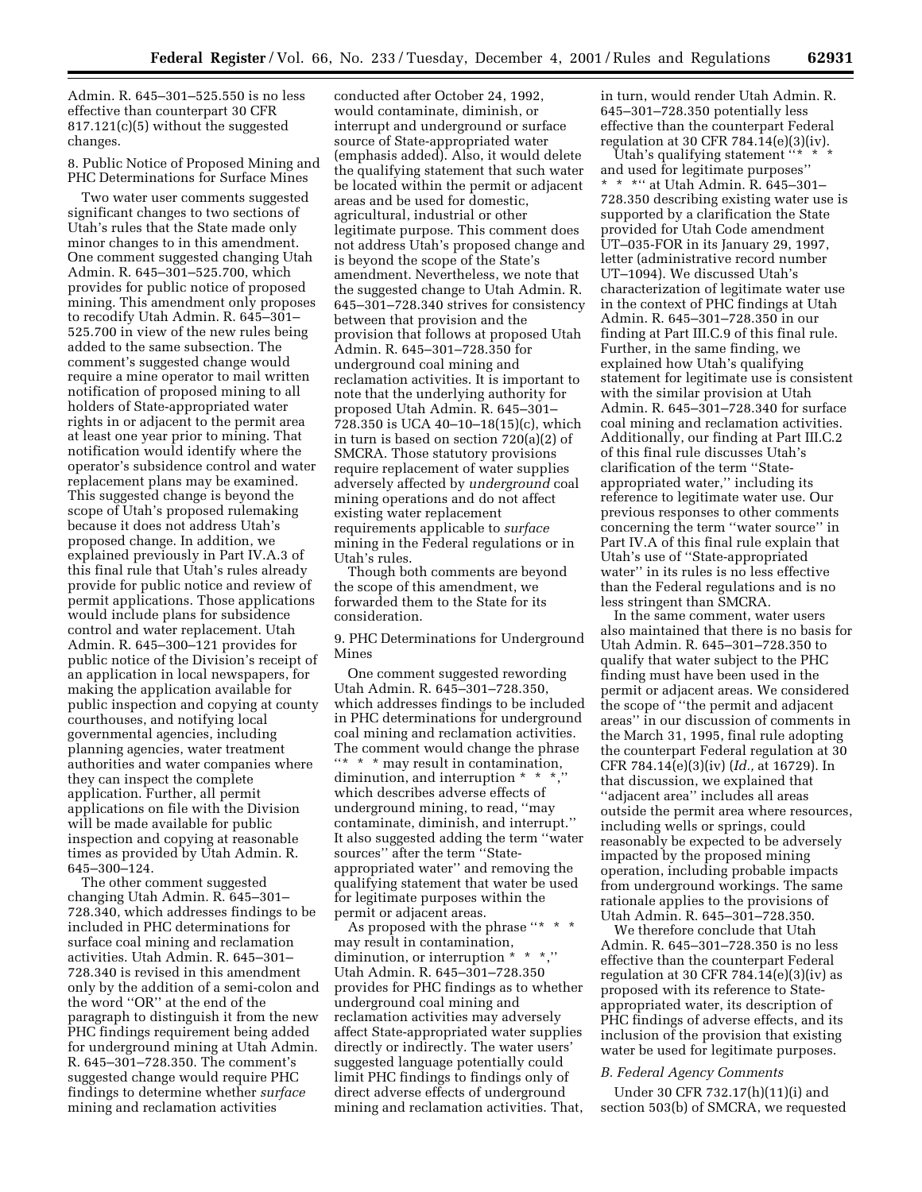Admin. R. 645–301–525.550 is no less effective than counterpart 30 CFR 817.121(c)(5) without the suggested changes.

8. Public Notice of Proposed Mining and PHC Determinations for Surface Mines

Two water user comments suggested significant changes to two sections of Utah's rules that the State made only minor changes to in this amendment. One comment suggested changing Utah Admin. R. 645–301–525.700, which provides for public notice of proposed mining. This amendment only proposes to recodify Utah Admin. R. 645–301– 525.700 in view of the new rules being added to the same subsection. The comment's suggested change would require a mine operator to mail written notification of proposed mining to all holders of State-appropriated water rights in or adjacent to the permit area at least one year prior to mining. That notification would identify where the operator's subsidence control and water replacement plans may be examined. This suggested change is beyond the scope of Utah's proposed rulemaking because it does not address Utah's proposed change. In addition, we explained previously in Part IV.A.3 of this final rule that Utah's rules already provide for public notice and review of permit applications. Those applications would include plans for subsidence control and water replacement. Utah Admin. R. 645–300–121 provides for public notice of the Division's receipt of an application in local newspapers, for making the application available for public inspection and copying at county courthouses, and notifying local governmental agencies, including planning agencies, water treatment authorities and water companies where they can inspect the complete application. Further, all permit applications on file with the Division will be made available for public inspection and copying at reasonable times as provided by Utah Admin. R. 645–300–124.

The other comment suggested changing Utah Admin. R. 645–301– 728.340, which addresses findings to be included in PHC determinations for surface coal mining and reclamation activities. Utah Admin. R. 645–301– 728.340 is revised in this amendment only by the addition of a semi-colon and the word ''OR'' at the end of the paragraph to distinguish it from the new PHC findings requirement being added for underground mining at Utah Admin. R. 645–301–728.350. The comment's suggested change would require PHC findings to determine whether *surface* mining and reclamation activities

conducted after October 24, 1992, would contaminate, diminish, or interrupt and underground or surface source of State-appropriated water (emphasis added). Also, it would delete the qualifying statement that such water be located within the permit or adjacent areas and be used for domestic, agricultural, industrial or other legitimate purpose. This comment does not address Utah's proposed change and is beyond the scope of the State's amendment. Nevertheless, we note that the suggested change to Utah Admin. R. 645–301–728.340 strives for consistency between that provision and the provision that follows at proposed Utah Admin. R. 645–301–728.350 for underground coal mining and reclamation activities. It is important to note that the underlying authority for proposed Utah Admin. R. 645–301– 728.350 is UCA 40–10–18(15)(c), which in turn is based on section 720(a)(2) of SMCRA. Those statutory provisions require replacement of water supplies adversely affected by *underground* coal mining operations and do not affect existing water replacement requirements applicable to *surface* mining in the Federal regulations or in Utah's rules.

Though both comments are beyond the scope of this amendment, we forwarded them to the State for its consideration.

9. PHC Determinations for Underground Mines

One comment suggested rewording Utah Admin. R. 645–301–728.350, which addresses findings to be included in PHC determinations for underground coal mining and reclamation activities. The comment would change the phrase "\* \* \* may result in contamination, diminution, and interruption \* \* \*, which describes adverse effects of underground mining, to read, ''may contaminate, diminish, and interrupt.'' It also suggested adding the term ''water sources'' after the term ''Stateappropriated water'' and removing the qualifying statement that water be used for legitimate purposes within the permit or adjacent areas.

As proposed with the phrase ''\* \* \* may result in contamination, diminution, or interruption \* \* \*,'' Utah Admin. R. 645–301–728.350 provides for PHC findings as to whether underground coal mining and reclamation activities may adversely affect State-appropriated water supplies directly or indirectly. The water users' suggested language potentially could limit PHC findings to findings only of direct adverse effects of underground mining and reclamation activities. That, in turn, would render Utah Admin. R. 645–301–728.350 potentially less effective than the counterpart Federal regulation at 30 CFR 784.14(e)(3)(iv).

Utah's qualifying statement  $``*$ and used for legitimate purposes'' \*\*\*'' at Utah Admin. R. 645–301– 728.350 describing existing water use is supported by a clarification the State provided for Utah Code amendment UT–035-FOR in its January 29, 1997, letter (administrative record number UT–1094). We discussed Utah's characterization of legitimate water use in the context of PHC findings at Utah Admin. R. 645–301–728.350 in our finding at Part III.C.9 of this final rule. Further, in the same finding, we explained how Utah's qualifying statement for legitimate use is consistent with the similar provision at Utah Admin. R. 645–301–728.340 for surface coal mining and reclamation activities. Additionally, our finding at Part III.C.2 of this final rule discusses Utah's clarification of the term ''Stateappropriated water,'' including its reference to legitimate water use. Our previous responses to other comments concerning the term ''water source'' in Part IV.A of this final rule explain that Utah's use of ''State-appropriated water'' in its rules is no less effective than the Federal regulations and is no less stringent than SMCRA.

In the same comment, water users also maintained that there is no basis for Utah Admin. R. 645–301–728.350 to qualify that water subject to the PHC finding must have been used in the permit or adjacent areas. We considered the scope of ''the permit and adjacent areas'' in our discussion of comments in the March 31, 1995, final rule adopting the counterpart Federal regulation at 30 CFR 784.14(e)(3)(iv) (*Id.,* at 16729). In that discussion, we explained that ''adjacent area'' includes all areas outside the permit area where resources, including wells or springs, could reasonably be expected to be adversely impacted by the proposed mining operation, including probable impacts from underground workings. The same rationale applies to the provisions of Utah Admin. R. 645–301–728.350.

We therefore conclude that Utah Admin. R. 645–301–728.350 is no less effective than the counterpart Federal regulation at 30 CFR 784.14 $(e)(3)(iv)$  as proposed with its reference to Stateappropriated water, its description of PHC findings of adverse effects, and its inclusion of the provision that existing water be used for legitimate purposes.

#### *B. Federal Agency Comments*

Under 30 CFR 732.17(h)(11)(i) and section 503(b) of SMCRA, we requested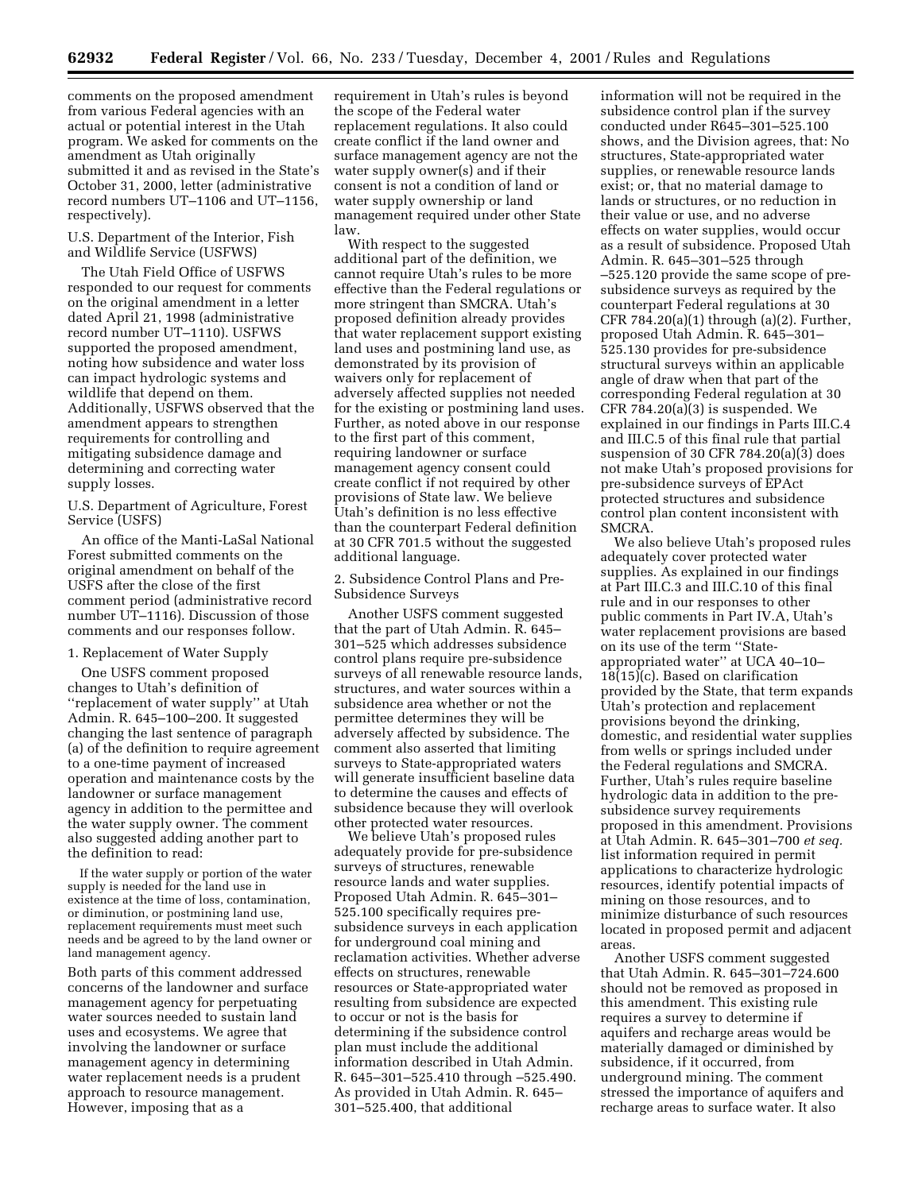comments on the proposed amendment from various Federal agencies with an actual or potential interest in the Utah program. We asked for comments on the amendment as Utah originally submitted it and as revised in the State's October 31, 2000, letter (administrative record numbers UT–1106 and UT–1156, respectively).

U.S. Department of the Interior, Fish and Wildlife Service (USFWS)

The Utah Field Office of USFWS responded to our request for comments on the original amendment in a letter dated April 21, 1998 (administrative record number UT–1110). USFWS supported the proposed amendment, noting how subsidence and water loss can impact hydrologic systems and wildlife that depend on them. Additionally, USFWS observed that the amendment appears to strengthen requirements for controlling and mitigating subsidence damage and determining and correcting water supply losses.

U.S. Department of Agriculture, Forest Service (USFS)

An office of the Manti-LaSal National Forest submitted comments on the original amendment on behalf of the USFS after the close of the first comment period (administrative record number UT–1116). Discussion of those comments and our responses follow.

#### 1. Replacement of Water Supply

One USFS comment proposed changes to Utah's definition of ''replacement of water supply'' at Utah Admin. R. 645–100–200. It suggested changing the last sentence of paragraph (a) of the definition to require agreement to a one-time payment of increased operation and maintenance costs by the landowner or surface management agency in addition to the permittee and the water supply owner. The comment also suggested adding another part to the definition to read:

If the water supply or portion of the water supply is needed for the land use in existence at the time of loss, contamination, or diminution, or postmining land use, replacement requirements must meet such needs and be agreed to by the land owner or land management agency.

Both parts of this comment addressed concerns of the landowner and surface management agency for perpetuating water sources needed to sustain land uses and ecosystems. We agree that involving the landowner or surface management agency in determining water replacement needs is a prudent approach to resource management. However, imposing that as a

requirement in Utah's rules is beyond the scope of the Federal water replacement regulations. It also could create conflict if the land owner and surface management agency are not the water supply owner(s) and if their consent is not a condition of land or water supply ownership or land management required under other State law.

With respect to the suggested additional part of the definition, we cannot require Utah's rules to be more effective than the Federal regulations or more stringent than SMCRA. Utah's proposed definition already provides that water replacement support existing land uses and postmining land use, as demonstrated by its provision of waivers only for replacement of adversely affected supplies not needed for the existing or postmining land uses. Further, as noted above in our response to the first part of this comment, requiring landowner or surface management agency consent could create conflict if not required by other provisions of State law. We believe Utah's definition is no less effective than the counterpart Federal definition at 30 CFR 701.5 without the suggested additional language.

2. Subsidence Control Plans and Pre-Subsidence Surveys

Another USFS comment suggested that the part of Utah Admin. R. 645– 301–525 which addresses subsidence control plans require pre-subsidence surveys of all renewable resource lands, structures, and water sources within a subsidence area whether or not the permittee determines they will be adversely affected by subsidence. The comment also asserted that limiting surveys to State-appropriated waters will generate insufficient baseline data to determine the causes and effects of subsidence because they will overlook other protected water resources.

We believe Utah's proposed rules adequately provide for pre-subsidence surveys of structures, renewable resource lands and water supplies. Proposed Utah Admin. R. 645–301– 525.100 specifically requires presubsidence surveys in each application for underground coal mining and reclamation activities. Whether adverse effects on structures, renewable resources or State-appropriated water resulting from subsidence are expected to occur or not is the basis for determining if the subsidence control plan must include the additional information described in Utah Admin. R. 645–301–525.410 through –525.490. As provided in Utah Admin. R. 645– 301–525.400, that additional

information will not be required in the subsidence control plan if the survey conducted under R645–301–525.100 shows, and the Division agrees, that: No structures, State-appropriated water supplies, or renewable resource lands exist; or, that no material damage to lands or structures, or no reduction in their value or use, and no adverse effects on water supplies, would occur as a result of subsidence. Proposed Utah Admin. R. 645–301–525 through –525.120 provide the same scope of presubsidence surveys as required by the counterpart Federal regulations at 30 CFR  $784.20(a)(1)$  through  $(a)(2)$ . Further, proposed Utah Admin. R. 645–301– 525.130 provides for pre-subsidence structural surveys within an applicable angle of draw when that part of the corresponding Federal regulation at 30 CFR 784.20(a)(3) is suspended. We explained in our findings in Parts III.C.4 and III.C.5 of this final rule that partial suspension of 30 CFR 784.20(a)(3) does not make Utah's proposed provisions for pre-subsidence surveys of EPAct protected structures and subsidence control plan content inconsistent with SMCRA.

We also believe Utah's proposed rules adequately cover protected water supplies. As explained in our findings at Part III.C.3 and III.C.10 of this final rule and in our responses to other public comments in Part IV.A, Utah's water replacement provisions are based on its use of the term ''Stateappropriated water'' at UCA 40–10– 18(15)(c). Based on clarification provided by the State, that term expands Utah's protection and replacement provisions beyond the drinking, domestic, and residential water supplies from wells or springs included under the Federal regulations and SMCRA. Further, Utah's rules require baseline hydrologic data in addition to the presubsidence survey requirements proposed in this amendment. Provisions at Utah Admin. R. 645–301–700 *et seq.* list information required in permit applications to characterize hydrologic resources, identify potential impacts of mining on those resources, and to minimize disturbance of such resources located in proposed permit and adjacent areas.

Another USFS comment suggested that Utah Admin. R. 645–301–724.600 should not be removed as proposed in this amendment. This existing rule requires a survey to determine if aquifers and recharge areas would be materially damaged or diminished by subsidence, if it occurred, from underground mining. The comment stressed the importance of aquifers and recharge areas to surface water. It also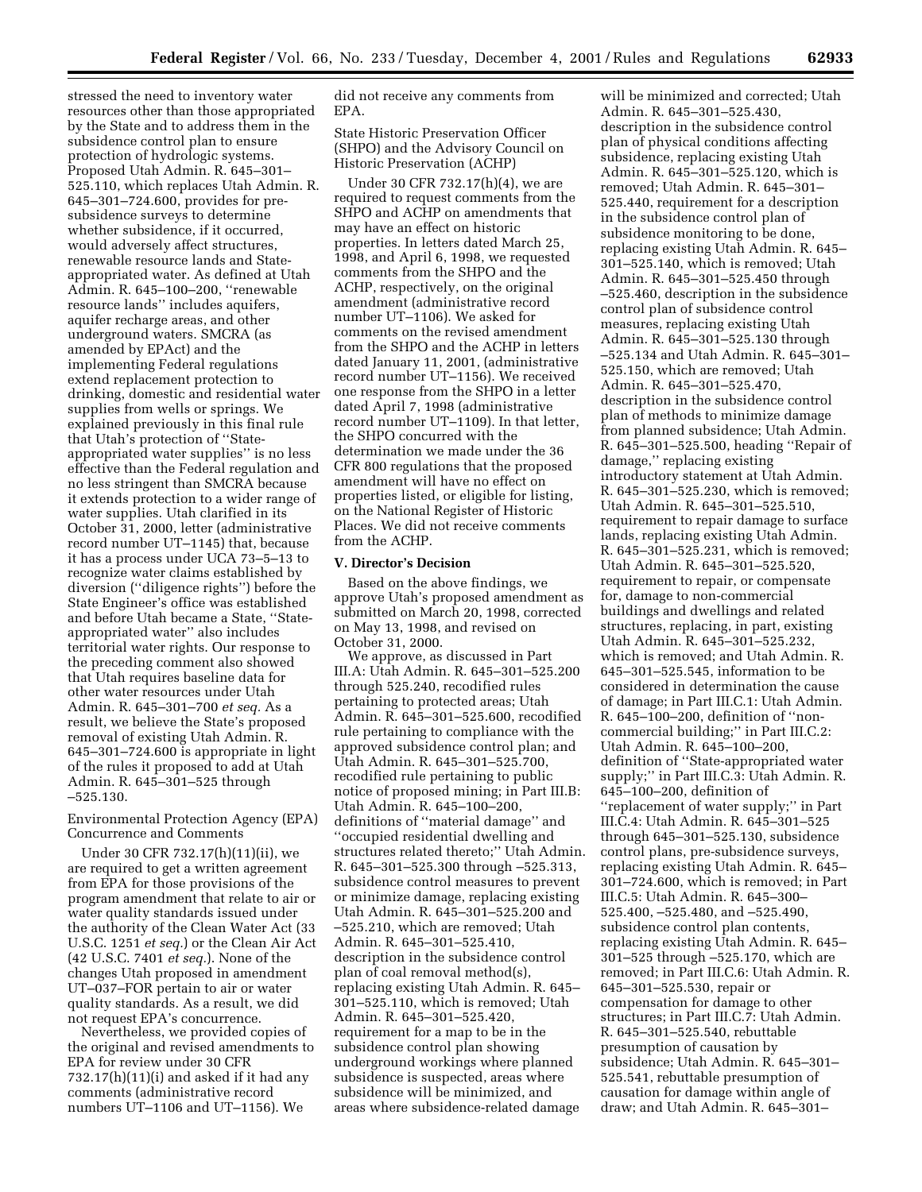stressed the need to inventory water resources other than those appropriated by the State and to address them in the subsidence control plan to ensure protection of hydrologic systems. Proposed Utah Admin. R. 645–301– 525.110, which replaces Utah Admin. R. 645–301–724.600, provides for presubsidence surveys to determine whether subsidence, if it occurred, would adversely affect structures, renewable resource lands and Stateappropriated water. As defined at Utah Admin. R. 645–100–200, ''renewable resource lands'' includes aquifers, aquifer recharge areas, and other underground waters. SMCRA (as amended by EPAct) and the implementing Federal regulations extend replacement protection to drinking, domestic and residential water supplies from wells or springs. We explained previously in this final rule that Utah's protection of ''Stateappropriated water supplies'' is no less effective than the Federal regulation and no less stringent than SMCRA because it extends protection to a wider range of water supplies. Utah clarified in its October 31, 2000, letter (administrative record number UT–1145) that, because it has a process under UCA 73–5–13 to recognize water claims established by diversion (''diligence rights'') before the State Engineer's office was established and before Utah became a State, ''Stateappropriated water'' also includes territorial water rights. Our response to the preceding comment also showed that Utah requires baseline data for other water resources under Utah Admin. R. 645–301–700 *et seq.* As a result, we believe the State's proposed removal of existing Utah Admin. R. 645–301–724.600 is appropriate in light of the rules it proposed to add at Utah Admin. R. 645–301–525 through –525.130.

## Environmental Protection Agency (EPA) Concurrence and Comments

Under 30 CFR 732.17(h)(11)(ii), we are required to get a written agreement from EPA for those provisions of the program amendment that relate to air or water quality standards issued under the authority of the Clean Water Act (33 U.S.C. 1251 *et seq.*) or the Clean Air Act (42 U.S.C. 7401 *et seq.*). None of the changes Utah proposed in amendment UT–037–FOR pertain to air or water quality standards. As a result, we did not request EPA's concurrence.

Nevertheless, we provided copies of the original and revised amendments to EPA for review under 30 CFR 732.17(h)(11)(i) and asked if it had any comments (administrative record numbers UT–1106 and UT–1156). We

did not receive any comments from EPA.

State Historic Preservation Officer (SHPO) and the Advisory Council on Historic Preservation (ACHP)

Under 30 CFR 732.17(h)(4), we are required to request comments from the SHPO and ACHP on amendments that may have an effect on historic properties. In letters dated March 25, 1998, and April 6, 1998, we requested comments from the SHPO and the ACHP, respectively, on the original amendment (administrative record number UT–1106). We asked for comments on the revised amendment from the SHPO and the ACHP in letters dated January 11, 2001, (administrative record number UT–1156). We received one response from the SHPO in a letter dated April 7, 1998 (administrative record number UT–1109). In that letter, the SHPO concurred with the determination we made under the 36 CFR 800 regulations that the proposed amendment will have no effect on properties listed, or eligible for listing, on the National Register of Historic Places. We did not receive comments from the ACHP.

#### **V. Director's Decision**

Based on the above findings, we approve Utah's proposed amendment as submitted on March 20, 1998, corrected on May 13, 1998, and revised on October 31, 2000.

We approve, as discussed in Part III.A: Utah Admin. R. 645–301–525.200 through 525.240, recodified rules pertaining to protected areas; Utah Admin. R. 645–301–525.600, recodified rule pertaining to compliance with the approved subsidence control plan; and Utah Admin. R. 645–301–525.700, recodified rule pertaining to public notice of proposed mining; in Part III.B: Utah Admin. R. 645–100–200, definitions of ''material damage'' and ''occupied residential dwelling and structures related thereto;'' Utah Admin. R. 645–301–525.300 through –525.313, subsidence control measures to prevent or minimize damage, replacing existing Utah Admin. R. 645–301–525.200 and –525.210, which are removed; Utah Admin. R. 645–301–525.410, description in the subsidence control plan of coal removal method(s), replacing existing Utah Admin. R. 645– 301–525.110, which is removed; Utah Admin. R. 645–301–525.420, requirement for a map to be in the subsidence control plan showing underground workings where planned subsidence is suspected, areas where subsidence will be minimized, and areas where subsidence-related damage

will be minimized and corrected; Utah Admin. R. 645–301–525.430, description in the subsidence control plan of physical conditions affecting subsidence, replacing existing Utah Admin. R. 645–301–525.120, which is removed; Utah Admin. R. 645–301– 525.440, requirement for a description in the subsidence control plan of subsidence monitoring to be done, replacing existing Utah Admin. R. 645– 301–525.140, which is removed; Utah Admin. R. 645–301–525.450 through –525.460, description in the subsidence control plan of subsidence control measures, replacing existing Utah Admin. R. 645–301–525.130 through –525.134 and Utah Admin. R. 645–301– 525.150, which are removed; Utah Admin. R. 645–301–525.470, description in the subsidence control plan of methods to minimize damage from planned subsidence; Utah Admin. R. 645–301–525.500, heading ''Repair of damage,'' replacing existing introductory statement at Utah Admin. R. 645–301–525.230, which is removed; Utah Admin. R. 645–301–525.510, requirement to repair damage to surface lands, replacing existing Utah Admin. R. 645–301–525.231, which is removed; Utah Admin. R. 645–301–525.520, requirement to repair, or compensate for, damage to non-commercial buildings and dwellings and related structures, replacing, in part, existing Utah Admin. R. 645–301–525.232, which is removed; and Utah Admin. R. 645–301–525.545, information to be considered in determination the cause of damage; in Part III.C.1: Utah Admin. R. 645–100–200, definition of ''noncommercial building;'' in Part III.C.2: Utah Admin. R. 645–100–200, definition of ''State-appropriated water supply;'' in Part III.C.3: Utah Admin. R. 645–100–200, definition of ''replacement of water supply;'' in Part III.C.4: Utah Admin. R. 645–301–525 through 645–301–525.130, subsidence control plans, pre-subsidence surveys, replacing existing Utah Admin. R. 645– 301–724.600, which is removed; in Part III.C.5: Utah Admin. R. 645–300– 525.400, –525.480, and –525.490, subsidence control plan contents, replacing existing Utah Admin. R. 645– 301–525 through –525.170, which are removed; in Part III.C.6: Utah Admin. R. 645–301–525.530, repair or compensation for damage to other structures; in Part III.C.7: Utah Admin. R. 645–301–525.540, rebuttable presumption of causation by subsidence; Utah Admin. R. 645–301– 525.541, rebuttable presumption of causation for damage within angle of draw; and Utah Admin. R. 645–301–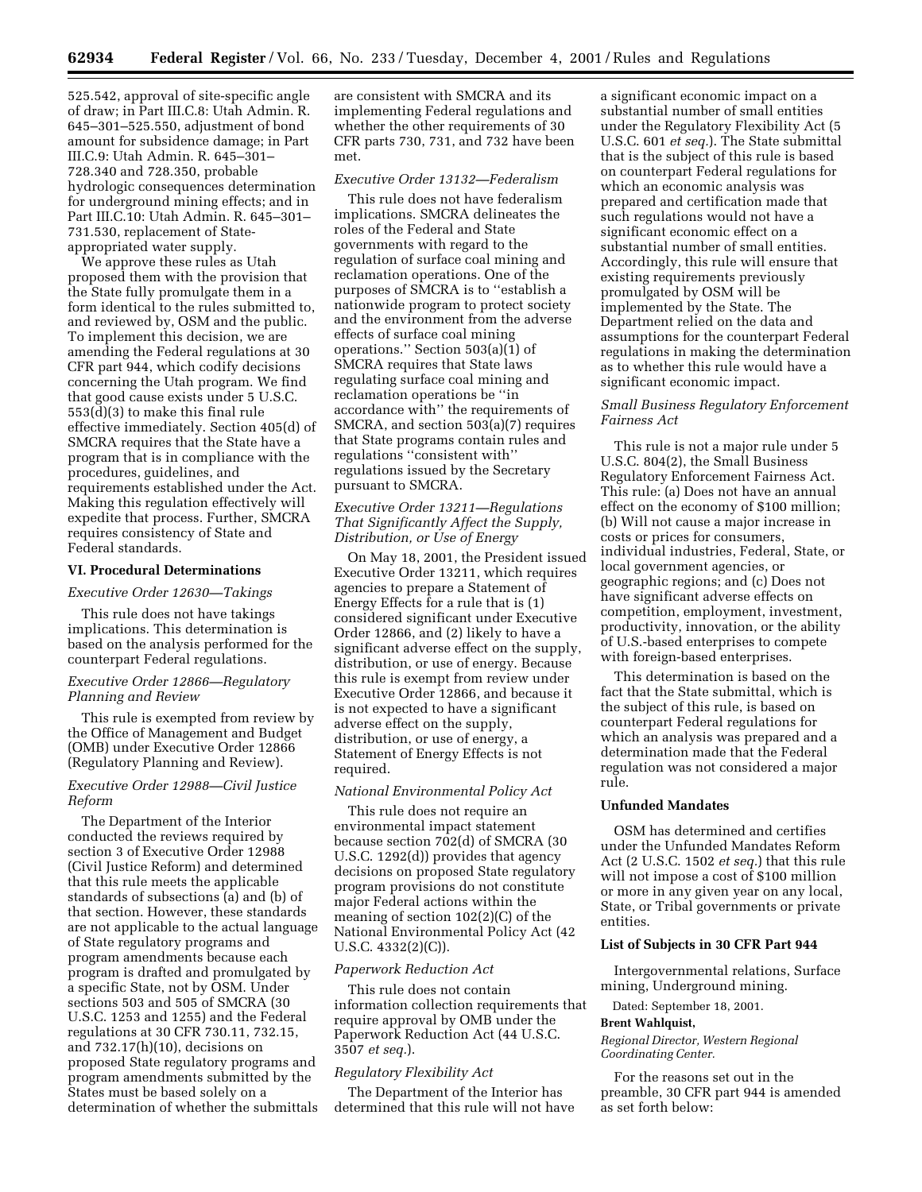525.542, approval of site-specific angle of draw; in Part III.C.8: Utah Admin. R. 645–301–525.550, adjustment of bond amount for subsidence damage; in Part III.C.9: Utah Admin. R. 645–301– 728.340 and 728.350, probable hydrologic consequences determination for underground mining effects; and in Part III.C.10: Utah Admin. R. 645–301– 731.530, replacement of Stateappropriated water supply.

We approve these rules as Utah proposed them with the provision that the State fully promulgate them in a form identical to the rules submitted to, and reviewed by, OSM and the public. To implement this decision, we are amending the Federal regulations at 30 CFR part 944, which codify decisions concerning the Utah program. We find that good cause exists under 5 U.S.C. 553(d)(3) to make this final rule effective immediately. Section 405(d) of SMCRA requires that the State have a program that is in compliance with the procedures, guidelines, and requirements established under the Act. Making this regulation effectively will expedite that process. Further, SMCRA requires consistency of State and Federal standards.

#### **VI. Procedural Determinations**

#### *Executive Order 12630—Takings*

This rule does not have takings implications. This determination is based on the analysis performed for the counterpart Federal regulations.

## *Executive Order 12866—Regulatory Planning and Review*

This rule is exempted from review by the Office of Management and Budget (OMB) under Executive Order 12866 (Regulatory Planning and Review).

## *Executive Order 12988—Civil Justice Reform*

The Department of the Interior conducted the reviews required by section 3 of Executive Order 12988 (Civil Justice Reform) and determined that this rule meets the applicable standards of subsections (a) and (b) of that section. However, these standards are not applicable to the actual language of State regulatory programs and program amendments because each program is drafted and promulgated by a specific State, not by OSM. Under sections 503 and 505 of SMCRA (30 U.S.C. 1253 and 1255) and the Federal regulations at 30 CFR 730.11, 732.15, and 732.17(h)(10), decisions on proposed State regulatory programs and program amendments submitted by the States must be based solely on a determination of whether the submittals

are consistent with SMCRA and its implementing Federal regulations and whether the other requirements of 30 CFR parts 730, 731, and 732 have been met.

#### *Executive Order 13132—Federalism*

This rule does not have federalism implications. SMCRA delineates the roles of the Federal and State governments with regard to the regulation of surface coal mining and reclamation operations. One of the purposes of SMCRA is to ''establish a nationwide program to protect society and the environment from the adverse effects of surface coal mining operations.'' Section 503(a)(1) of SMCRA requires that State laws regulating surface coal mining and reclamation operations be ''in accordance with'' the requirements of SMCRA, and section 503(a)(7) requires that State programs contain rules and regulations ''consistent with'' regulations issued by the Secretary pursuant to SMCRA.

## *Executive Order 13211—Regulations That Significantly Affect the Supply, Distribution, or Use of Energy*

On May 18, 2001, the President issued Executive Order 13211, which requires agencies to prepare a Statement of Energy Effects for a rule that is (1) considered significant under Executive Order 12866, and (2) likely to have a significant adverse effect on the supply, distribution, or use of energy. Because this rule is exempt from review under Executive Order 12866, and because it is not expected to have a significant adverse effect on the supply, distribution, or use of energy, a Statement of Energy Effects is not required.

#### *National Environmental Policy Act*

This rule does not require an environmental impact statement because section 702(d) of SMCRA (30 U.S.C. 1292(d)) provides that agency decisions on proposed State regulatory program provisions do not constitute major Federal actions within the meaning of section 102(2)(C) of the National Environmental Policy Act (42 U.S.C.  $4332(2)(C)$ ).

## *Paperwork Reduction Act*

This rule does not contain information collection requirements that require approval by OMB under the Paperwork Reduction Act (44 U.S.C. 3507 *et seq.*).

#### *Regulatory Flexibility Act*

The Department of the Interior has determined that this rule will not have a significant economic impact on a substantial number of small entities under the Regulatory Flexibility Act (5 U.S.C. 601 *et seq.*). The State submittal that is the subject of this rule is based on counterpart Federal regulations for which an economic analysis was prepared and certification made that such regulations would not have a significant economic effect on a substantial number of small entities. Accordingly, this rule will ensure that existing requirements previously promulgated by OSM will be implemented by the State. The Department relied on the data and assumptions for the counterpart Federal regulations in making the determination as to whether this rule would have a significant economic impact.

## *Small Business Regulatory Enforcement Fairness Act*

This rule is not a major rule under 5 U.S.C. 804(2), the Small Business Regulatory Enforcement Fairness Act. This rule: (a) Does not have an annual effect on the economy of \$100 million; (b) Will not cause a major increase in costs or prices for consumers, individual industries, Federal, State, or local government agencies, or geographic regions; and (c) Does not have significant adverse effects on competition, employment, investment, productivity, innovation, or the ability of U.S.-based enterprises to compete with foreign-based enterprises.

This determination is based on the fact that the State submittal, which is the subject of this rule, is based on counterpart Federal regulations for which an analysis was prepared and a determination made that the Federal regulation was not considered a major rule.

#### **Unfunded Mandates**

OSM has determined and certifies under the Unfunded Mandates Reform Act (2 U.S.C. 1502 *et seq.*) that this rule will not impose a cost of \$100 million or more in any given year on any local, State, or Tribal governments or private entities.

## **List of Subjects in 30 CFR Part 944**

Intergovernmental relations, Surface mining, Underground mining.

Dated: September 18, 2001.

#### **Brent Wahlquist,**

*Regional Director, Western Regional Coordinating Center.*

For the reasons set out in the preamble, 30 CFR part 944 is amended as set forth below: